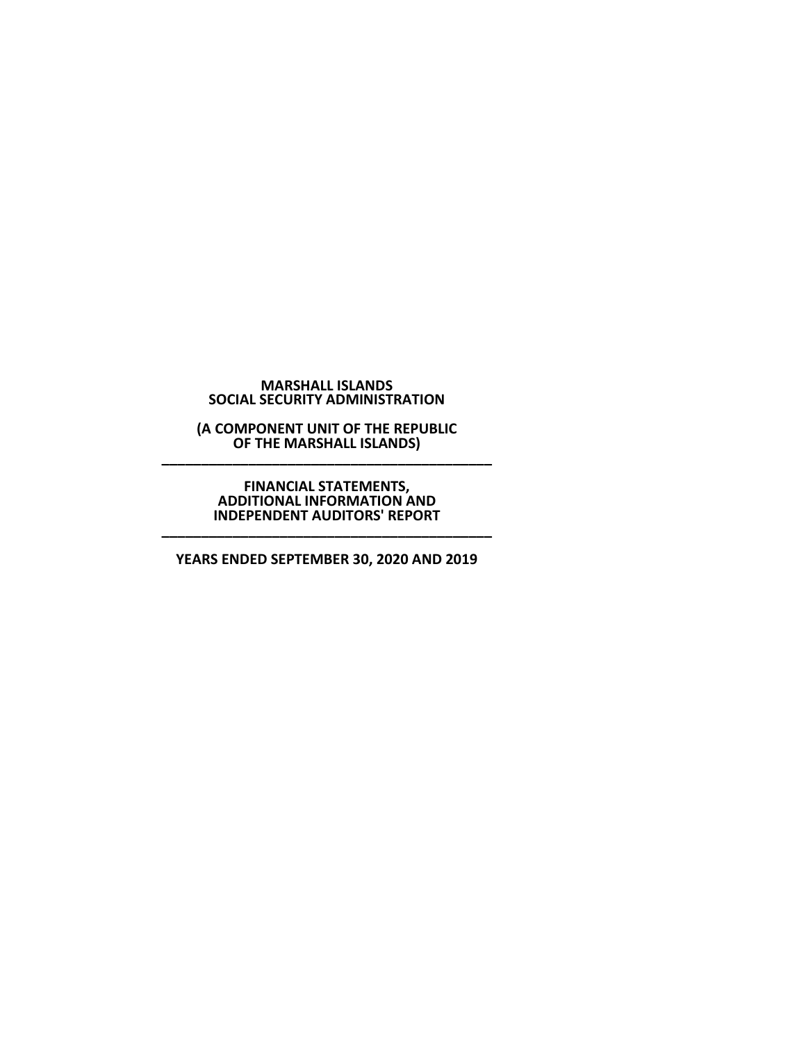#### **MARSHALL ISLANDS SOCIAL SECURITY ADMINISTRATION**

**(A COMPONENT UNIT OF THE REPUBLIC OF THE MARSHALL ISLANDS)** 

# **FINANCIAL STATEMENTS, ADDITIONAL INFORMATION AND INDEPENDENT AUDITORS' REPORT \_\_\_\_\_\_\_\_\_\_\_\_\_\_\_\_\_\_\_\_\_\_\_\_\_\_\_\_\_\_\_\_\_\_\_\_\_\_\_\_\_\_**

**YEARS ENDED SEPTEMBER 30, 2020 AND 2019**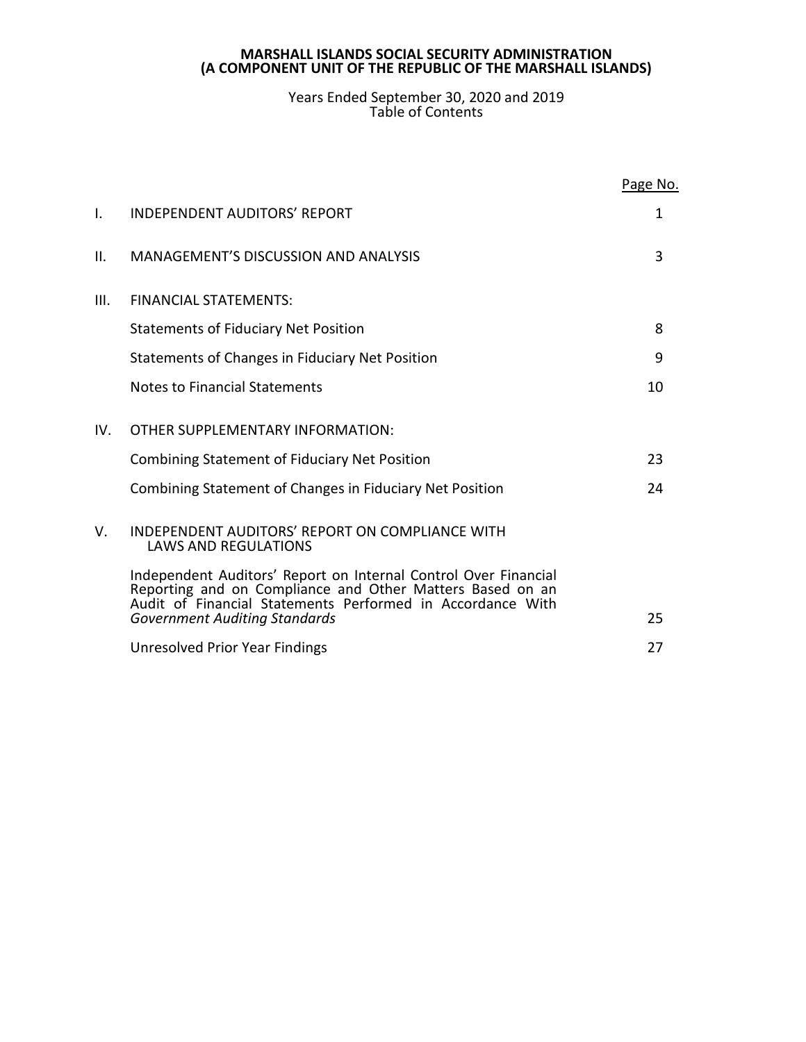### Years Ended September 30, 2020 and 2019 Table of Contents

|      |                                                                                                                                                                                            | Page No. |
|------|--------------------------------------------------------------------------------------------------------------------------------------------------------------------------------------------|----------|
| ı.   | <b>INDEPENDENT AUDITORS' REPORT</b>                                                                                                                                                        | 1        |
| ΙΙ.  | <b>MANAGEMENT'S DISCUSSION AND ANALYSIS</b>                                                                                                                                                | 3        |
| III. | <b>FINANCIAL STATEMENTS:</b>                                                                                                                                                               |          |
|      | <b>Statements of Fiduciary Net Position</b>                                                                                                                                                | 8        |
|      | Statements of Changes in Fiduciary Net Position                                                                                                                                            | 9        |
|      | <b>Notes to Financial Statements</b>                                                                                                                                                       | 10       |
| IV.  | OTHER SUPPLEMENTARY INFORMATION:                                                                                                                                                           |          |
|      | <b>Combining Statement of Fiduciary Net Position</b>                                                                                                                                       | 23       |
|      | Combining Statement of Changes in Fiduciary Net Position                                                                                                                                   | 24       |
| V.   | INDEPENDENT AUDITORS' REPORT ON COMPLIANCE WITH<br><b>LAWS AND REGULATIONS</b>                                                                                                             |          |
|      | Independent Auditors' Report on Internal Control Over Financial<br>Reporting and on Compliance and Other Matters Based on an<br>Audit of Financial Statements Performed in Accordance With |          |
|      | <b>Government Auditing Standards</b>                                                                                                                                                       | 25       |
|      | Unresolved Prior Year Findings                                                                                                                                                             | 27       |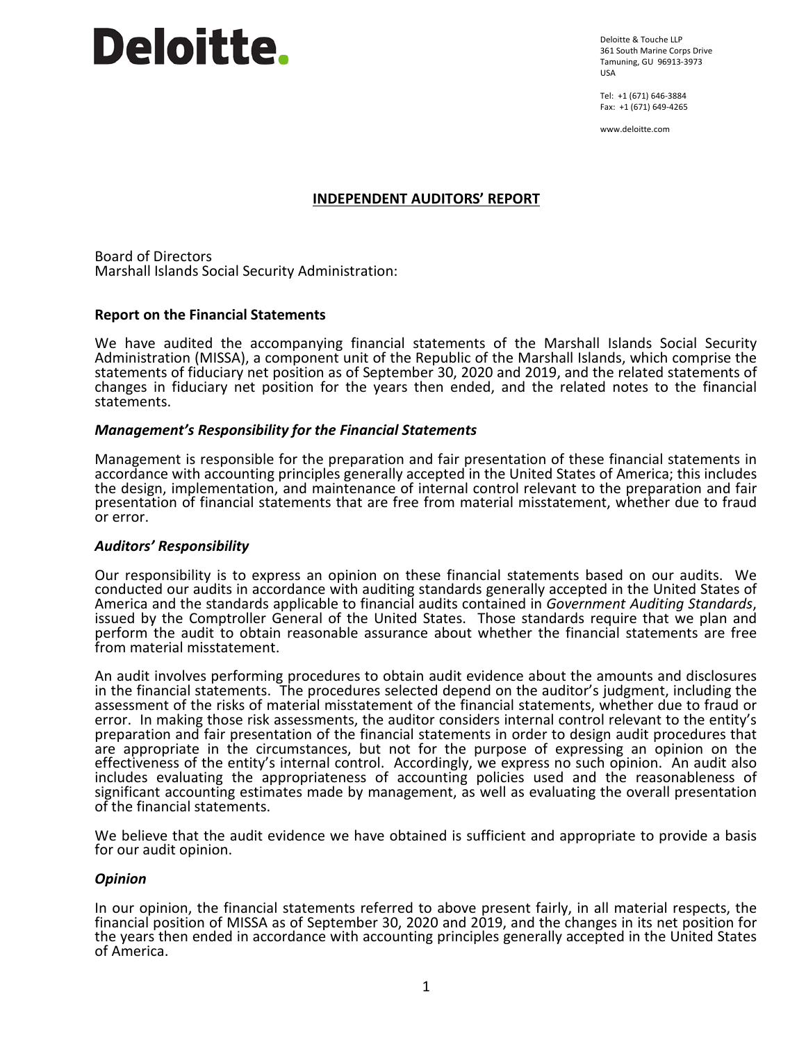# Deloitte.

Deloitte & Touche LLP 361 South Marine Corps Drive Tamuning, GU 96913-3973 USA

Tel: +1 (671) 646-3884 Fax: +1 (671) 649-4265

www.deloitte.com

# **INDEPENDENT AUDITORS' REPORT**

Board of Directors Marshall Islands Social Security Administration:

# **Report on the Financial Statements**

We have audited the accompanying financial statements of the Marshall Islands Social Security Administration (MISSA), a component unit of the Republic of the Marshall Islands, which comprise the statements of fiduciary net position as of September 30, 2020 and 2019, and the related statements of changes in fiduciary net position for the years then ended, and the related notes to the financial statements.

# *Management's Responsibility for the Financial Statements*

Management is responsible for the preparation and fair presentation of these financial statements in accordance with accounting principles generally accepted in the United States of America; this includes the design, implementation, and maintenance of internal control relevant to the preparation and fair presentation of financial statements that are free from material misstatement, whether due to fraud or error.

# *Auditors' Responsibility*

Our responsibility is to express an opinion on these financial statements based on our audits. We conducted our audits in accordance with auditing standards generally accepted in the United States of America and the standards applicable to financial audits contained in Government Auditing Standards, issued by the Comptroller General of the United States. Those standards require that we plan and perform the audit to obtain reasonable assurance about whether the financial statements are free from material misstatement.

An audit involves performing procedures to obtain audit evidence about the amounts and disclosures in the financial statements. The procedures selected depend on the auditor's judgment, including the assessment of the risks of material misstatement of the financial statements, whether due to fraud or error. In making those risk assessments, the auditor considers internal control relevant to the entity's preparation and fair presentation of the financial statements in order to design audit procedures that are appropriate in the circumstances, but not for the purpose of expressing an opinion on the effectiveness of the entity's internal control. Accordingly, we express no such opinion. An audit also includes evaluating the appropriateness of accounting policies used and the reasonableness of significant accounting estimates made by management, as well as evaluating the overall presentation of the financial statements.

We believe that the audit evidence we have obtained is sufficient and appropriate to provide a basis for our audit opinion.

# *Opinion*

In our opinion, the financial statements referred to above present fairly, in all material respects, the financial position of MISSA as of September 30, 2020 and 2019, and the changes in its net position for the years then ended in accordance with accounting principles generally accepted in the United States of America.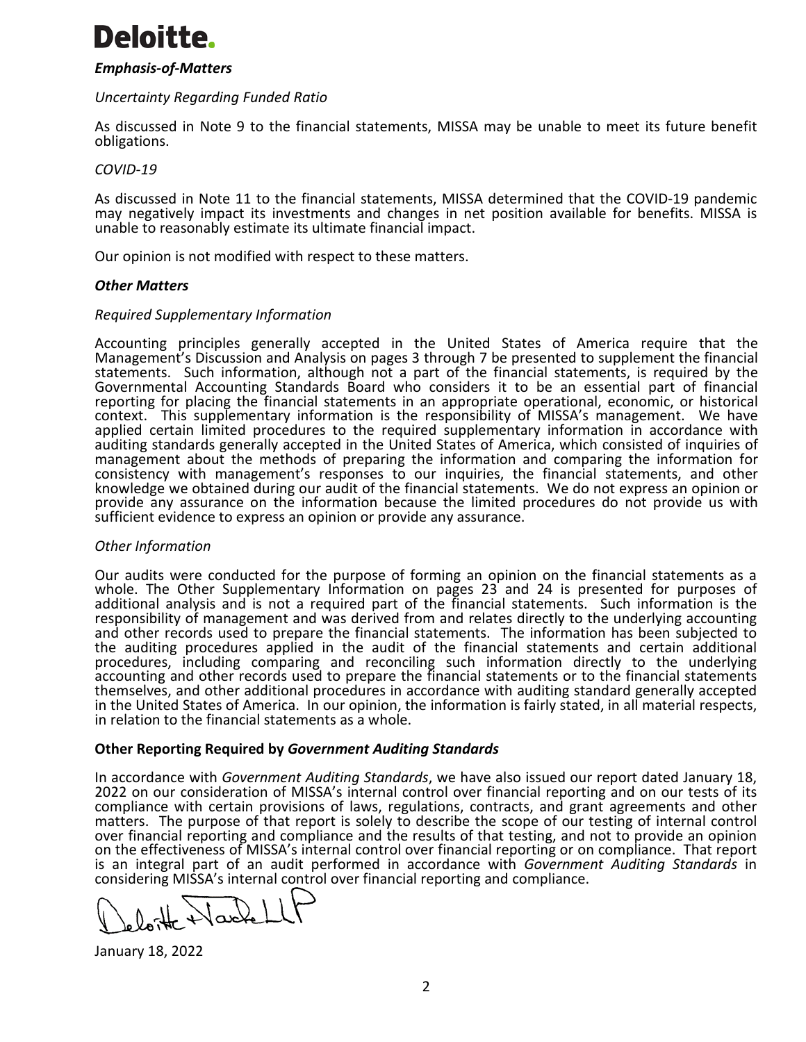# Deloitte.

# *Emphasis-of-Matters*

# *Uncertainty Regarding Funded Ratio*

As discussed in Note 9 to the financial statements, MISSA may be unable to meet its future benefit obligations.

### *COVID-19*

As discussed in Note 11 to the financial statements, MISSA determined that the COVID-19 pandemic may negatively impact its investments and changes in net position available for benefits. MISSA is unable to reasonably estimate its ultimate financial impact.

Our opinion is not modified with respect to these matters.

#### *Other Matters*

#### *Required Supplementary Information*

Accounting principles generally accepted in the United States of America require that the Management's Discussion and Analysis on pages 3 through 7 be presented to supplement the financial statements. Such information, although not a part of the financial statements, is required by the Governmental Accounting Standards Board who considers it to be an essential part of financial reporting for placing the financial statements in an appropriate operational, economic, or historical context. This supplementary information is the responsibility of MISSA's management. We have applied certain limited procedures to the required supplementary information in accordance with auditing standards generally accepted in the United States of America, which consisted of inquiries of management about the methods of preparing the information and comparing the information for consistency with management's responses to our inquiries, the financial statements, and other knowledge we obtained during our audit of the financial statements. We do not express an opinion or provide any assurance on the information because the limited procedures do not provide us with sufficient evidence to express an opinion or provide any assurance.

# *Other Information*

Our audits were conducted for the purpose of forming an opinion on the financial statements as a whole. The Other Supplementary Information on pages 23 and 24 is presented for purposes of additional analysis and is not a required part of the financial statements. Such information is the responsibility of management and was derived from and relates directly to the underlying accounting and other records used to prepare the financial statements. The information has been subjected to the auditing procedures applied in the audit of the financial statements and certain additional procedures, including comparing and reconciling such information directly to the underlying accounting and other records used to prepare the financial statements or to the financial statements themselves, and other additional procedures in accordance with auditing standard generally accepted in the United States of America. In our opinion, the information is fairly stated, in all material respects, in relation to the financial statements as a whole.

# **Other Reporting Required by** *Government Auditing Standards*

In accordance with *Government Auditing Standards*, we have also issued our report dated January 18, 2022 on our consideration of MISSA's internal control over financial reporting and on our tests of its compliance with certain provisions of laws, regulations, contracts, and grant agreements and other matters. The purpose of that report is solely to describe the scope of our testing of internal control over financial reporting and compliance and the results of that testing, and not to provide an opinion on the effectiveness of MISSA's internal control over financial reporting or on compliance. That report is an integral part of an audit performed in accordance with *Government Auditing Standards* in considering MISSA's internal control over financial reporting and compliance.

January 18, 2022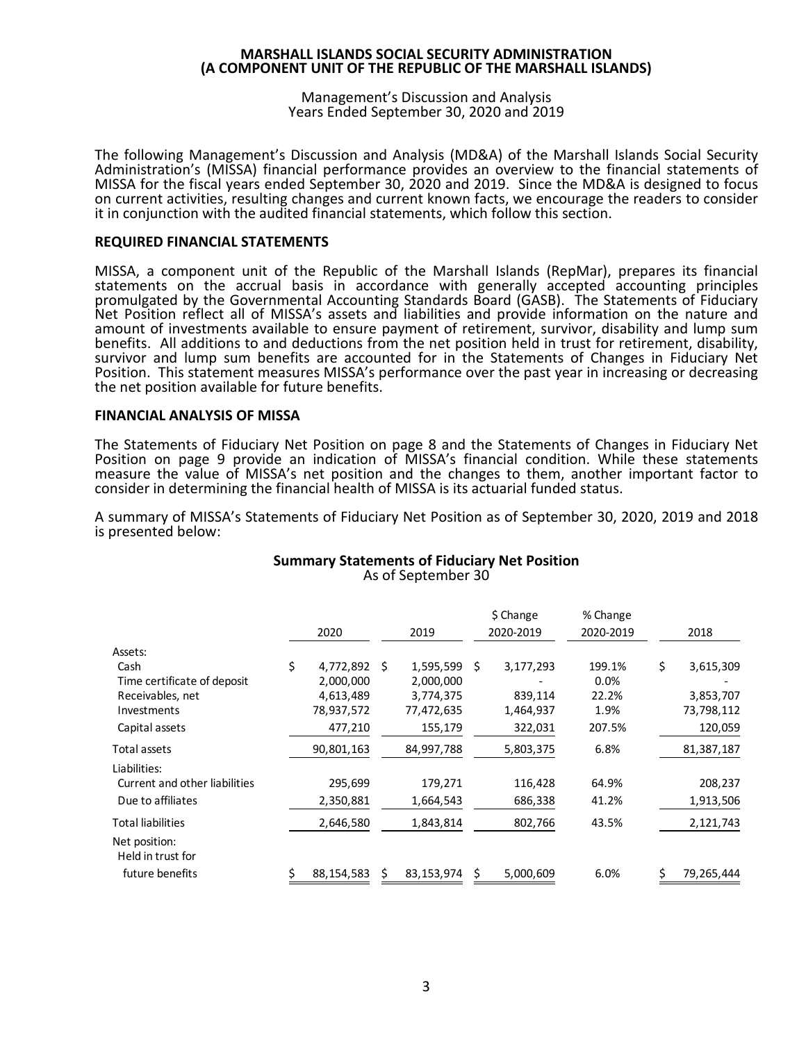Management's Discussion and Analysis Years Ended September 30, 2020 and 2019

The following Management's Discussion and Analysis (MD&A) of the Marshall Islands Social Security Administration's (MISSA) financial performance provides an overview to the financial statements of MISSA for the fiscal years ended September 30, 2020 and 2019. Since the MD&A is designed to focus on current activities, resulting changes and current known facts, we encourage the readers to consider it in conjunction with the audited financial statements, which follow this section.

#### **REQUIRED FINANCIAL STATEMENTS**

MISSA, a component unit of the Republic of the Marshall Islands (RepMar), prepares its financial statements on the accrual basis in accordance with generally accepted accounting principles promulgated by the Governmental Accounting Standards Board (GASB). The Statements of Fiduciary Net Position reflect all of MISSA's assets and liabilities and provide information on the nature and amount of investments available to ensure payment of retirement, survivor, disability and lump sum benefits. All additions to and deductions from the net position held in trust for retirement, disability, survivor and lump sum benefits are accounted for in the Statements of Changes in Fiduciary Net Position. This statement measures MISSA's performance over the past year in increasing or decreasing the net position available for future benefits.

#### **FINANCIAL ANALYSIS OF MISSA**

The Statements of Fiduciary Net Position on page 8 and the Statements of Changes in Fiduciary Net Position on page 9 provide an indication of MISSA's financial condition. While these statements measure the value of MISSA's net position and the changes to them, another important factor to consider in determining the financial health of MISSA is its actuarial funded status.

A summary of MISSA's Statements of Fiduciary Net Position as of September 30, 2020, 2019 and 2018 is presented below:

|                                    | 2020             |    | 2019       |   | \$ Change<br>2020-2019 | % Change<br>2020-2019 | 2018            |
|------------------------------------|------------------|----|------------|---|------------------------|-----------------------|-----------------|
| Assets:                            |                  |    |            |   |                        |                       |                 |
| Cash                               | \$<br>4,772,892  | -Ś | 1,595,599  | Ś | 3,177,293              | 199.1%                | \$<br>3,615,309 |
| Time certificate of deposit        | 2,000,000        |    | 2,000,000  |   |                        | 0.0%                  |                 |
| Receivables, net                   | 4,613,489        |    | 3,774,375  |   | 839,114                | 22.2%                 | 3,853,707       |
| Investments                        | 78,937,572       |    | 77,472,635 |   | 1,464,937              | 1.9%                  | 73,798,112      |
| Capital assets                     | 477,210          |    | 155,179    |   | 322,031                | 207.5%                | 120,059         |
| Total assets                       | 90,801,163       |    | 84,997,788 |   | 5,803,375              | 6.8%                  | 81,387,187      |
| Liabilities:                       |                  |    |            |   |                        |                       |                 |
| Current and other liabilities      | 295,699          |    | 179,271    |   | 116,428                | 64.9%                 | 208,237         |
| Due to affiliates                  | 2,350,881        |    | 1,664,543  |   | 686,338                | 41.2%                 | 1,913,506       |
| <b>Total liabilities</b>           | 2,646,580        |    | 1,843,814  |   | 802,766                | 43.5%                 | 2,121,743       |
| Net position:<br>Held in trust for |                  |    |            |   |                        |                       |                 |
| future benefits                    | \$<br>88,154,583 | \$ | 83,153,974 | Ś | 5,000,609              | 6.0%                  | 79,265,444      |

# **Summary Statements of Fiduciary Net Position**

As of September 30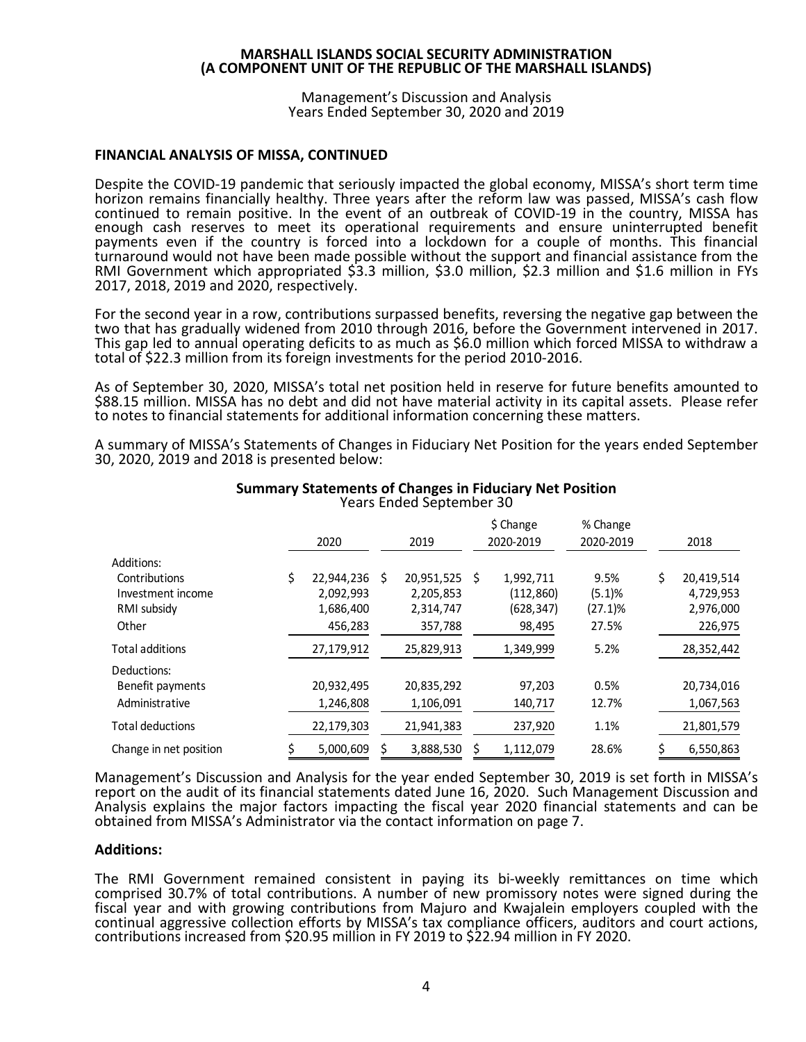Management's Discussion and Analysis Years Ended September 30, 2020 and 2019

#### **FINANCIAL ANALYSIS OF MISSA, CONTINUED**

Despite the COVID-19 pandemic that seriously impacted the global economy, MISSA's short term time horizon remains financially healthy. Three years after the reform law was passed, MISSA's cash flow continued to remain positive. In the event of an outbreak of COVID-19 in the country, MISSA has enough cash reserves to meet its operational requirements and ensure uninterrupted benefit payments even if the country is forced into a lockdown for a couple of months. This financial turnaround would not have been made possible without the support and financial assistance from the RMI Government which appropriated \$3.3 million, \$3.0 million, \$2.3 million and \$1.6 million in FYs 2017, 2018, 2019 and 2020, respectively.

For the second year in a row, contributions surpassed benefits, reversing the negative gap between the two that has gradually widened from 2010 through 2016, before the Government intervened in 2017. This gap led to annual operating deficits to as much as \$6.0 million which forced MISSA to withdraw a total of \$22.3 million from its foreign investments for the period 2010-2016.

As of September 30, 2020, MISSA's total net position held in reserve for future benefits amounted to \$88.15 million. MISSA has no debt and did not have material activity in its capital assets. Please refer to notes to financial statements for additional information concerning these matters.

A summary of MISSA's Statements of Changes in Fiduciary Net Position for the years ended September 30, 2020, 2019 and 2018 is presented below:

|                         | 2020             | 2019             |    | \$ Change<br>2020-2019 | % Change<br>2020-2019 | 2018             |
|-------------------------|------------------|------------------|----|------------------------|-----------------------|------------------|
| Additions:              |                  |                  |    |                        |                       |                  |
| Contributions           | \$<br>22,944,236 | \$<br>20,951,525 | Ś. | 1,992,711              | 9.5%                  | \$<br>20,419,514 |
| Investment income       | 2,092,993        | 2,205,853        |    | (112, 860)             | (5.1)%                | 4,729,953        |
| RMI subsidy             | 1,686,400        | 2,314,747        |    | (628,347)              | $(27.1)\%$            | 2,976,000        |
| Other                   | 456,283          | 357,788          |    | 98,495                 | 27.5%                 | 226,975          |
| <b>Total additions</b>  | 27,179,912       | 25,829,913       |    | 1,349,999              | 5.2%                  | 28,352,442       |
| Deductions:             |                  |                  |    |                        |                       |                  |
| Benefit payments        | 20,932,495       | 20,835,292       |    | 97,203                 | 0.5%                  | 20,734,016       |
| Administrative          | 1,246,808        | 1,106,091        |    | 140,717                | 12.7%                 | 1,067,563        |
| <b>Total deductions</b> | 22,179,303       | 21,941,383       |    | 237,920                | 1.1%                  | 21,801,579       |
| Change in net position  | 5,000,609        | 3,888,530        |    | 1,112,079              | 28.6%                 | 6,550,863        |

#### **Summary Statements of Changes in Fiduciary Net Position** Years Ended September 30

Management's Discussion and Analysis for the year ended September 30, 2019 is set forth in MISSA's report on the audit of its financial statements dated June 16, 2020. Such Management Discussion and Analysis explains the major factors impacting the fiscal year 2020 financial statements and can be obtained from MISSA's Administrator via the contact information on page 7.

#### **Additions:**

The RMI Government remained consistent in paying its bi-weekly remittances on time which comprised 30.7% of total contributions. A number of new promissory notes were signed during the fiscal year and with growing contributions from Majuro and Kwajalein employers coupled with the continual aggressive collection efforts by MISSA's tax compliance officers, auditors and court actions, contributions increased from \$20.95 million in FY 2019 to \$22.94 million in FY 2020.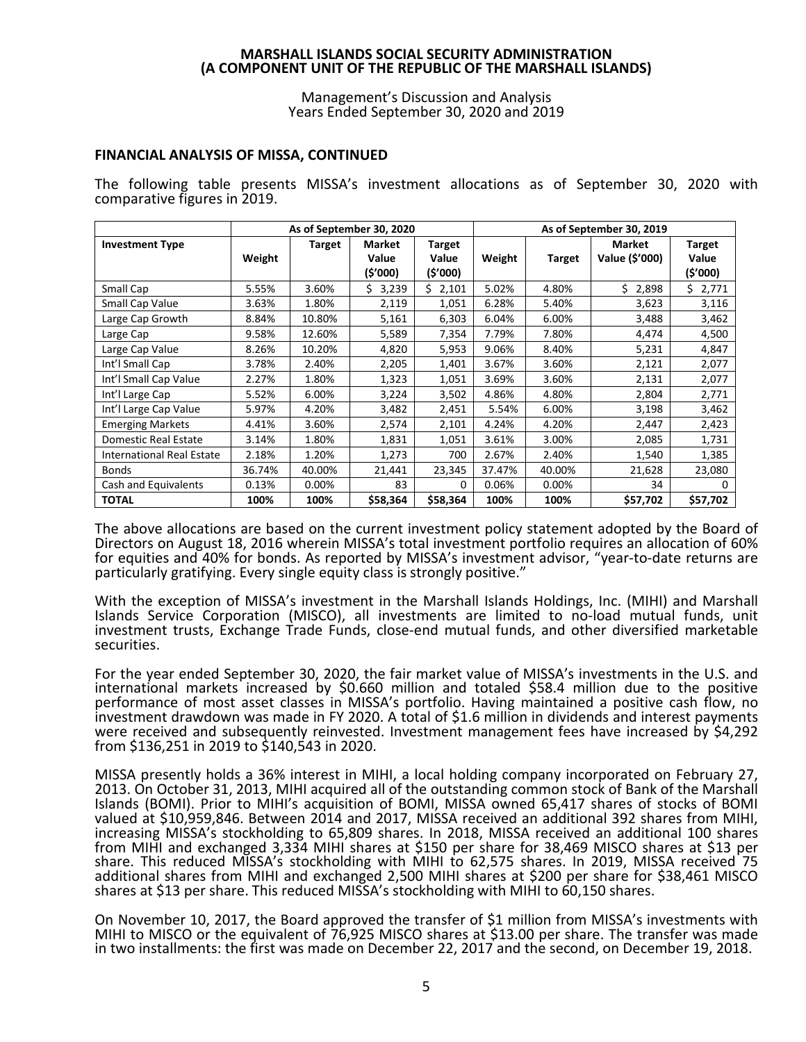Management's Discussion and Analysis Years Ended September 30, 2020 and 2019

#### **FINANCIAL ANALYSIS OF MISSA, CONTINUED**

The following table presents MISSA's investment allocations as of September 30, 2020 with comparative figures in 2019.

|                           |        |               | As of September 30, 2020 |          | As of September 30, 2019 |               |                |               |
|---------------------------|--------|---------------|--------------------------|----------|--------------------------|---------------|----------------|---------------|
| <b>Investment Type</b>    |        | <b>Target</b> | <b>Market</b>            | Target   |                          |               | Market         | <b>Target</b> |
|                           | Weight |               | Value                    | Value    | Weight                   | <b>Target</b> | Value (\$'000) | Value         |
|                           |        |               | (\$'000)                 | (\$'000) |                          |               |                | (5'000)       |
| Small Cap                 | 5.55%  | 3.60%         | \$3,239                  | \$2,101  | 5.02%                    | 4.80%         | \$2,898        | Ś.<br>2,771   |
| Small Cap Value           | 3.63%  | 1.80%         | 2,119                    | 1,051    | 6.28%                    | 5.40%         | 3,623          | 3,116         |
| Large Cap Growth          | 8.84%  | 10.80%        | 5,161                    | 6,303    | 6.04%                    | 6.00%         | 3,488          | 3,462         |
| Large Cap                 | 9.58%  | 12.60%        | 5,589                    | 7,354    | 7.79%                    | 7.80%         | 4,474          | 4,500         |
| Large Cap Value           | 8.26%  | 10.20%        | 4,820                    | 5,953    | 9.06%                    | 8.40%         | 5,231          | 4,847         |
| Int'l Small Cap           | 3.78%  | 2.40%         | 2,205                    | 1,401    | 3.67%                    | 3.60%         | 2,121          | 2,077         |
| Int'l Small Cap Value     | 2.27%  | 1.80%         | 1,323                    | 1,051    | 3.69%                    | 3.60%         | 2,131          | 2,077         |
| Int'l Large Cap           | 5.52%  | 6.00%         | 3,224                    | 3,502    | 4.86%                    | 4.80%         | 2,804          | 2,771         |
| Int'l Large Cap Value     | 5.97%  | 4.20%         | 3,482                    | 2,451    | 5.54%                    | 6.00%         | 3,198          | 3,462         |
| <b>Emerging Markets</b>   | 4.41%  | 3.60%         | 2,574                    | 2,101    | 4.24%                    | 4.20%         | 2,447          | 2,423         |
| Domestic Real Estate      | 3.14%  | 1.80%         | 1,831                    | 1,051    | 3.61%                    | 3.00%         | 2,085          | 1,731         |
| International Real Estate | 2.18%  | 1.20%         | 1,273                    | 700      | 2.67%                    | 2.40%         | 1,540          | 1,385         |
| <b>Bonds</b>              | 36.74% | 40.00%        | 21,441                   | 23,345   | 37.47%                   | 40.00%        | 21,628         | 23,080        |
| Cash and Equivalents      | 0.13%  | $0.00\%$      | 83                       | 0        | 0.06%                    | 0.00%         | 34             | <sup>0</sup>  |
| <b>TOTAL</b>              | 100%   | 100%          | \$58,364                 | \$58,364 | 100%                     | 100%          | \$57,702       | \$57,702      |

The above allocations are based on the current investment policy statement adopted by the Board of Directors on August 18, 2016 wherein MISSA's total investment portfolio requires an allocation of 60% for equities and 40% for bonds. As reported by MISSA's investment advisor, "year-to-date returns are particularly gratifying. Every single equity class is strongly positive."

With the exception of MISSA's investment in the Marshall Islands Holdings, Inc. (MIHI) and Marshall Islands Service Corporation (MISCO), all investments are limited to no-load mutual funds, unit investment trusts, Exchange Trade Funds, close-end mutual funds, and other diversified marketable securities.

For the year ended September 30, 2020, the fair market value of MISSA's investments in the U.S. and international markets increased by \$0.660 million and totaled \$58.4 million due to the positive performance of most asset classes in MISSA's portfolio. Having maintained a positive cash flow, no investment drawdown was made in FY 2020. A total of \$1.6 million in dividends and interest payments were received and subsequently reinvested. Investment management fees have increased by \$4,292 from \$136,251 in 2019 to \$140,543 in 2020.

MISSA presently holds a 36% interest in MIHI, a local holding company incorporated on February 27, 2013. On October 31, 2013, MIHI acquired all of the outstanding common stock of Bank of the Marshall Islands (BOMI). Prior to MIHI's acquisition of BOMI, MISSA owned 65,417 shares of stocks of BOMI valued at \$10,959,846. Between 2014 and 2017, MISSA received an additional 392 shares from MIHI, increasing MISSA's stockholding to 65,809 shares. In 2018, MISSA received an additional 100 shares from MIHI and exchanged 3,334 MIHI shares at \$150 per share for 38,469 MISCO shares at \$13 per share. This reduced MISSA's stockholding with MIHI to 62,575 shares. In 2019, MISSA received 75 additional shares from MIHI and exchanged 2,500 MIHI shares at \$200 per share for \$38,461 MISCO shares at \$13 per share. This reduced MISSA's stockholding with MIHI to 60,150 shares.

On November 10, 2017, the Board approved the transfer of \$1 million from MISSA's investments with MIHI to MISCO or the equivalent of 76,925 MISCO shares at \$13.00 per share. The transfer was made in two installments: the first was made on December 22, 2017 and the second, on December 19, 2018.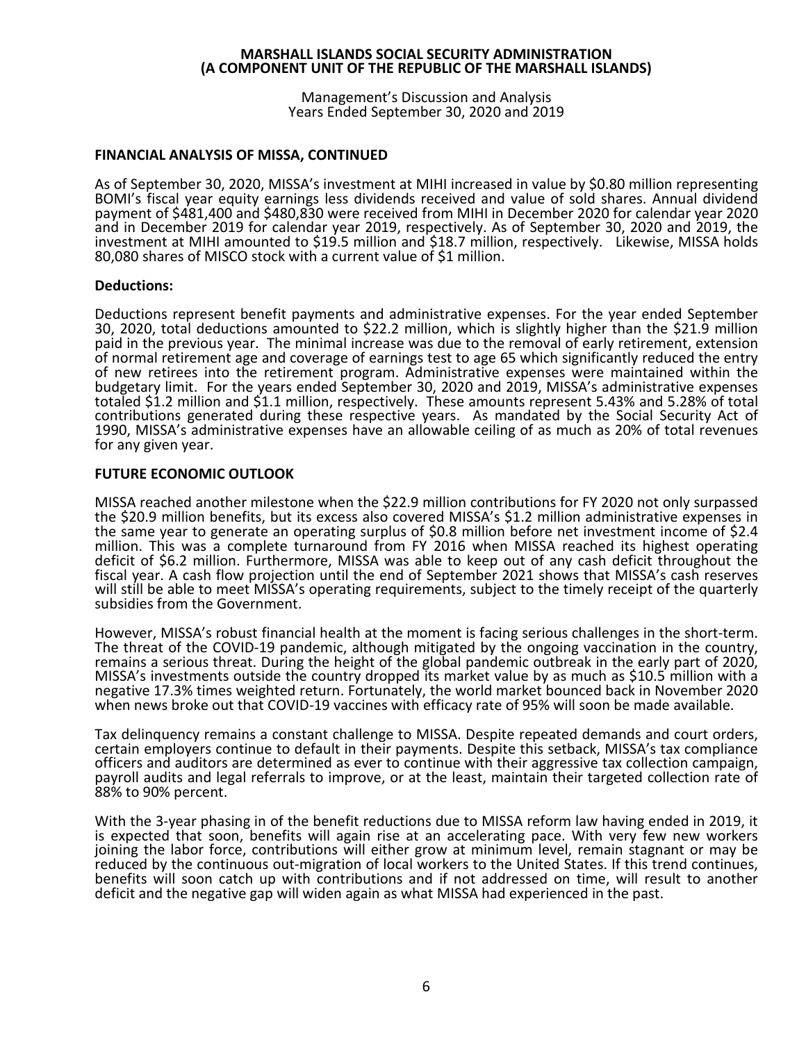Management's Discussion and Analysis Years Ended September 30, 2020 and 2019

# **FINANCIAL ANALYSIS OF MISSA, CONTINUED**

As of September 30, 2020, MISSA's investment at MIHI increased in value by \$0.80 million representing BOMI's fiscal year equity earnings less dividends received and value of sold shares. Annual dividend payment of \$481,400 and \$480,830 were received from MIHI in December 2020 for calendar year 2020 and in December 2019 for calendar year 2019, respectively. As of September 30, 2020 and 2019, the investment at MIHI amounted to \$19.5 million and \$18.7 million, respectively. Likewise, MISSA holds 80,080 shares of MISCO stock with a current value of \$1 million.

#### **Deductions:**

Deductions represent benefit payments and administrative expenses. For the year ended September 30, 2020, total deductions amounted to \$22.2 million, which is slightly higher than the \$21.9 million paid in the previous year. The minimal increase was due to the removal of early retirement, extension of normal retirement age and coverage of earnings test to age 65 which significantly reduced the entry of new retirees into the retirement program. Administrative expenses were maintained within the budgetary limit. For the years ended September 30, 2020 and 2019, MISSA's administrative expenses totaled \$1.2 million and \$1.1 million, respectively. These amounts represent 5.43% and 5.28% of total contributions generated during these respective years. As mandated by the Social Security Act of 1990, MISSA's administrative expenses have an allowable ceiling of as much as 20% of total revenues for any given year.

#### **FUTURE ECONOMIC OUTLOOK**

MISSA reached another milestone when the \$22.9 million contributions for FY 2020 not only surpassed the \$20.9 million benefits, but its excess also covered MISSA's \$1.2 million administrative expenses in the same year to generate an operating surplus of \$0.8 million before net investment income of \$2.4 million. This was a complete turnaround from FY 2016 when MISSA reached its highest operating deficit of \$6.2 million. Furthermore, MISSA was able to keep out of any cash deficit throughout the fiscal year. A cash flow projection until the end of September 2021 shows that MISSA's cash reserves will still be able to meet MISSA's operating requirements, subject to the timely receipt of the quarterly subsidies from the Government.

However, MISSA's robust financial health at the moment is facing serious challenges in the short-term. The threat of the COVID-19 pandemic, although mitigated by the ongoing vaccination in the country, remains a serious threat. During the height of the global pandemic outbreak in the early part of 2020, MISSA's investments outside the country dropped its market value by as much as \$10.5 million with a negative 17.3% times weighted return. Fortunately, the world market bounced back in November 2020 when news broke out that COVID-19 vaccines with efficacy rate of 95% will soon be made available.

Tax delinquency remains a constant challenge to MISSA. Despite repeated demands and court orders, certain employers continue to default in their payments. Despite this setback, MISSA's tax compliance payroll audits and legal referrals to improve, or at the least, maintain their targeted collection rate of 88% to 90% percent.

With the 3-year phasing in of the benefit reductions due to MISSA reform law having ended in 2019, it is expected that soon, benefits will again rise at an accelerating pace. With very few new workers joining the labor force, contributions will either grow at minimum level, remain stagnant or may be reduced by the continuous out-migration of local workers to the United States. If this trend continues, benefits will soon catch up with contributions and if not addressed on time, will result to another deficit and the negative gap will widen again as what MISSA had experienced in the past.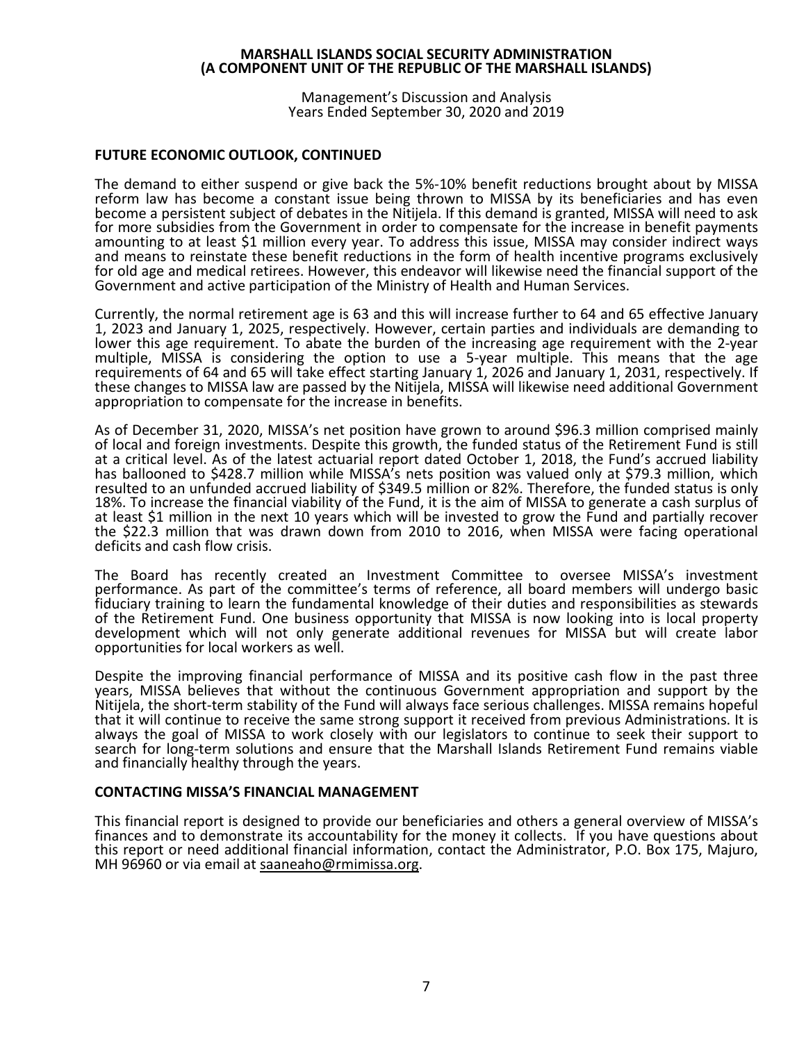Management's Discussion and Analysis Years Ended September 30, 2020 and 2019

### **FUTURE ECONOMIC OUTLOOK, CONTINUED**

The demand to either suspend or give back the 5%-10% benefit reductions brought about by MISSA reform law has become a constant issue being thrown to MISSA by its beneficiaries and has even become a persistent subject of debates in the Nitijela. If this demand is granted, MISSA will need to ask<br>for more subsidies from the Government in order to compensate for the increase in benefit payments amounting to at least \$1 million every year. To address this issue, MISSA may consider indirect ways and means to reinstate these benefit reductions in the form of health incentive programs exclusively for old age and medical retirees. However, this endeavor will likewise need the financial support of the Government and active participation of the Ministry of Health and Human Services.

Currently, the normal retirement age is 63 and this will increase further to 64 and 65 effective January 1, 2023 and January 1, 2025, respectively. However, certain parties and individuals are demanding to lower this age requirement. To abate the burden of the increasing age requirement with the 2-year multiple, MISSA is considering the option to use a 5-year multiple. This means that the age requirements of 64 and 65 will take effect starting January 1, 2026 and January 1, 2031, respectively. If these changes to MISSA law are passed by the Nitijela, MISSA will likewise need additional Government appropriation to compensate for the increase in benefits.

As of December 31, 2020, MISSA's net position have grown to around \$96.3 million comprised mainly of local and foreign investments. Despite this growth, the funded status of the Retirement Fund is still at a critical level. As of the latest actuarial report dated October 1, 2018, the Fund's accrued liability has ballooned to \$428.7 million while MISSA's nets position was valued only at \$79.3 million, which resulted to an unfunded accrued liability of \$349.5 million or 82%. Therefore, the funded status is only 18%. To increase the financial viability of the Fund, it is the aim of MISSA to generate a cash surplus of at least \$1 million in the next 10 years which will be invested to grow the Fund and partially recover the \$22.3 million that was drawn down from 2010 to 2016, when MISSA were facing operational deficits and cash flow crisis.

The Board has recently created an Investment Committee to oversee MISSA's investment performance. As part of the committee's terms of reference, all board members will undergo basic fiduciary training to learn the fundamental knowledge of their duties and responsibilities as stewards of the Retirement Fund. One business opportunity that MISSA is now looking into is local property development which will not only generate additional revenues for MISSA but will create labor opportunities for local workers as well.

Despite the improving financial performance of MISSA and its positive cash flow in the past three years, MISSA believes that without the continuous Government appropriation and support by the Nitijela, the short-term stability of the Fund will always face serious challenges. MISSA remains hopeful that it will continue to receive the same strong support it received from previous Administrations. It is always the goal of MISSA to work closely with our legislators to continue to seek their support to search for long-term solutions and ensure that the Marshall Islands Retirement Fund remains viable and financially healthy through the years.

#### **CONTACTING MISSA'S FINANCIAL MANAGEMENT**

This financial report is designed to provide our beneficiaries and others a general overview of MISSA's finances and to demonstrate its accountability for the money it collects. If you have questions about this report or need additional financial information, contact the Administrator, P.O. Box 175, Majuro, MH 96960 or via email at [saaneaho@rmimissa.org.](mailto:saaneaho@rmimissa.org)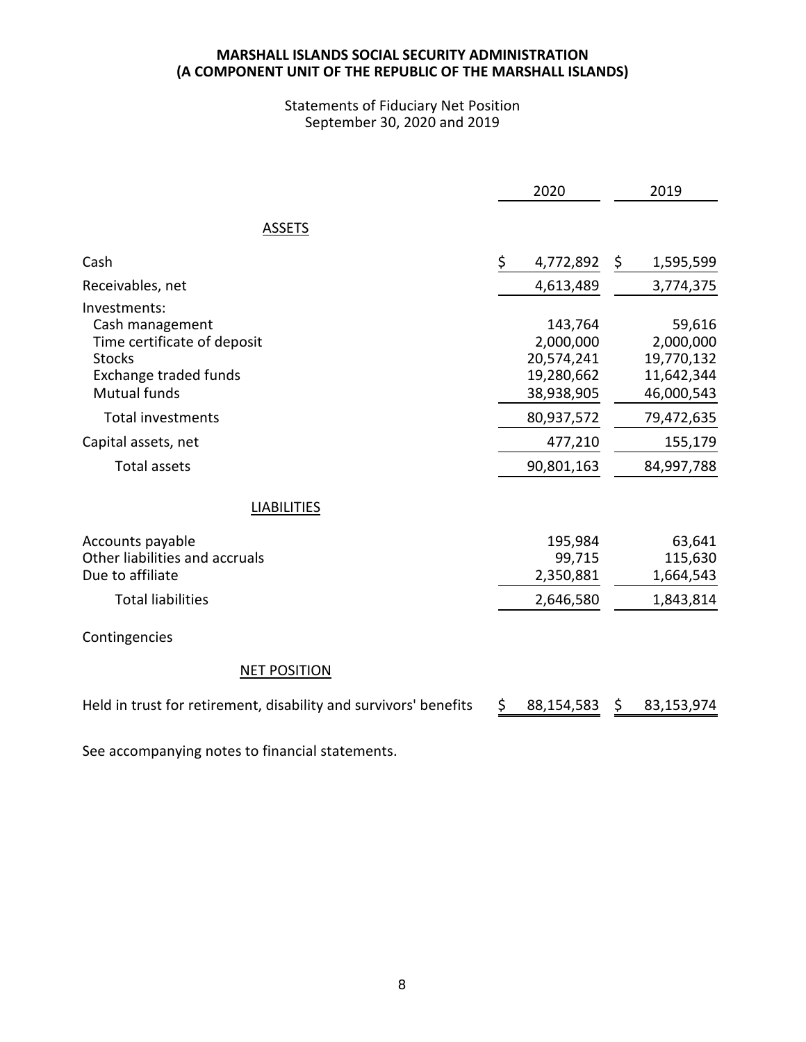# Statements of Fiduciary Net Position September 30, 2020 and 2019

|                                                                                                                          | 2020                                                           |    | 2019                                                          |
|--------------------------------------------------------------------------------------------------------------------------|----------------------------------------------------------------|----|---------------------------------------------------------------|
| <b>ASSETS</b>                                                                                                            |                                                                |    |                                                               |
| Cash                                                                                                                     | \$<br>4,772,892                                                | \$ | 1,595,599                                                     |
| Receivables, net                                                                                                         | 4,613,489                                                      |    | 3,774,375                                                     |
| Investments:<br>Cash management<br>Time certificate of deposit<br><b>Stocks</b><br>Exchange traded funds<br>Mutual funds | 143,764<br>2,000,000<br>20,574,241<br>19,280,662<br>38,938,905 |    | 59,616<br>2,000,000<br>19,770,132<br>11,642,344<br>46,000,543 |
| <b>Total investments</b>                                                                                                 | 80,937,572                                                     |    | 79,472,635                                                    |
| Capital assets, net                                                                                                      | 477,210                                                        |    | 155,179                                                       |
| <b>Total assets</b>                                                                                                      | 90,801,163                                                     |    | 84,997,788                                                    |
| <b>LIABILITIES</b>                                                                                                       |                                                                |    |                                                               |
| Accounts payable<br>Other liabilities and accruals<br>Due to affiliate<br><b>Total liabilities</b>                       | 195,984<br>99,715<br>2,350,881<br>2,646,580                    |    | 63,641<br>115,630<br>1,664,543<br>1,843,814                   |
| Contingencies                                                                                                            |                                                                |    |                                                               |
| <b>NET POSITION</b>                                                                                                      |                                                                |    |                                                               |
| Held in trust for retirement, disability and survivors' benefits                                                         | \$<br>88,154,583                                               | Ş. | 83,153,974                                                    |

See accompanying notes to financial statements.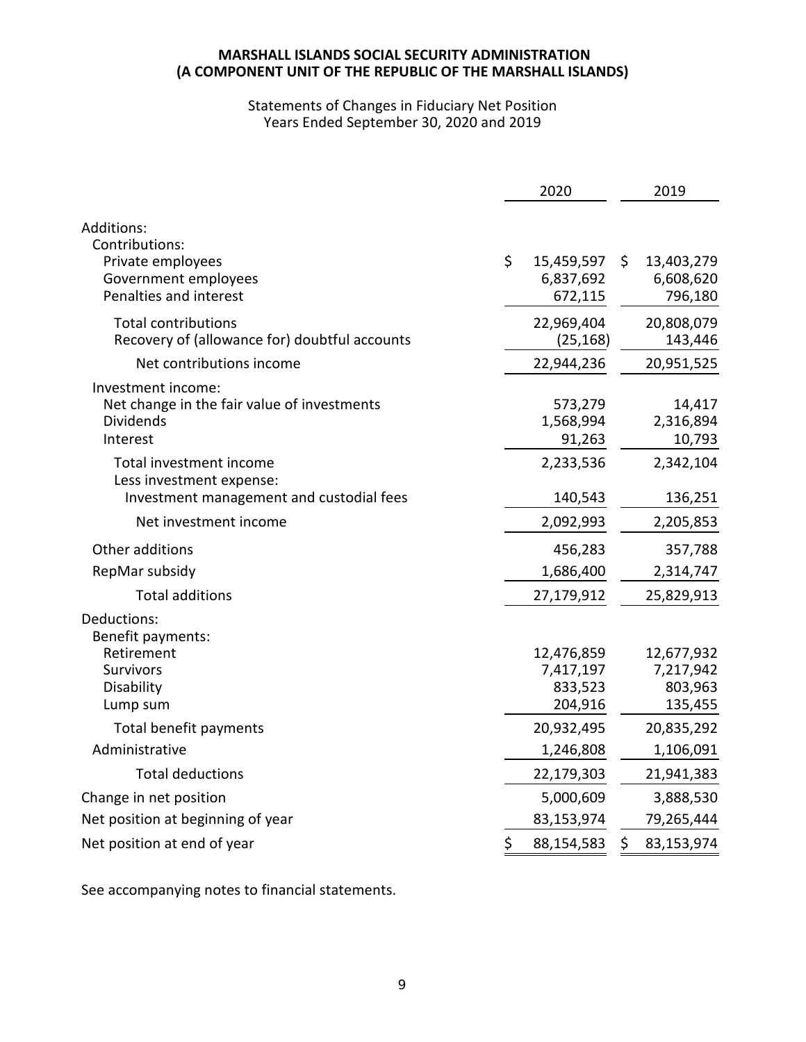# Statements of Changes in Fiduciary Net Position Years Ended September 30, 2020 and 2019

|                                                                                                   | 2020                                          | 2019                                          |
|---------------------------------------------------------------------------------------------------|-----------------------------------------------|-----------------------------------------------|
| Additions:<br>Contributions:<br>Private employees                                                 | \$<br>15,459,597                              | \$<br>13,403,279                              |
| Government employees<br>Penalties and interest                                                    | 6,837,692<br>672,115                          | 6,608,620<br>796,180                          |
| <b>Total contributions</b><br>Recovery of (allowance for) doubtful accounts                       | 22,969,404<br>(25, 168)                       | 20,808,079<br>143,446                         |
| Net contributions income                                                                          | 22,944,236                                    | 20,951,525                                    |
| Investment income:<br>Net change in the fair value of investments<br><b>Dividends</b><br>Interest | 573,279<br>1,568,994<br>91,263                | 14,417<br>2,316,894<br>10,793                 |
| Total investment income<br>Less investment expense:<br>Investment management and custodial fees   | 2,233,536<br>140,543                          | 2,342,104<br>136,251                          |
| Net investment income                                                                             | 2,092,993                                     | 2,205,853                                     |
| Other additions                                                                                   | 456,283                                       | 357,788                                       |
| RepMar subsidy                                                                                    | 1,686,400                                     | 2,314,747                                     |
| <b>Total additions</b>                                                                            | 27,179,912                                    | 25,829,913                                    |
| Deductions:<br>Benefit payments:                                                                  |                                               |                                               |
| Retirement<br><b>Survivors</b><br>Disability<br>Lump sum                                          | 12,476,859<br>7,417,197<br>833,523<br>204,916 | 12,677,932<br>7,217,942<br>803,963<br>135,455 |
| Total benefit payments                                                                            | 20,932,495                                    | 20,835,292                                    |
| Administrative                                                                                    | 1,246,808                                     | 1,106,091                                     |
| <b>Total deductions</b>                                                                           | 22,179,303                                    | 21,941,383                                    |
| Change in net position                                                                            | 5,000,609                                     | 3,888,530                                     |
| Net position at beginning of year                                                                 | 83,153,974                                    | 79,265,444                                    |
| Net position at end of year                                                                       | \$<br>88,154,583                              | \$<br>83,153,974                              |

See accompanying notes to financial statements.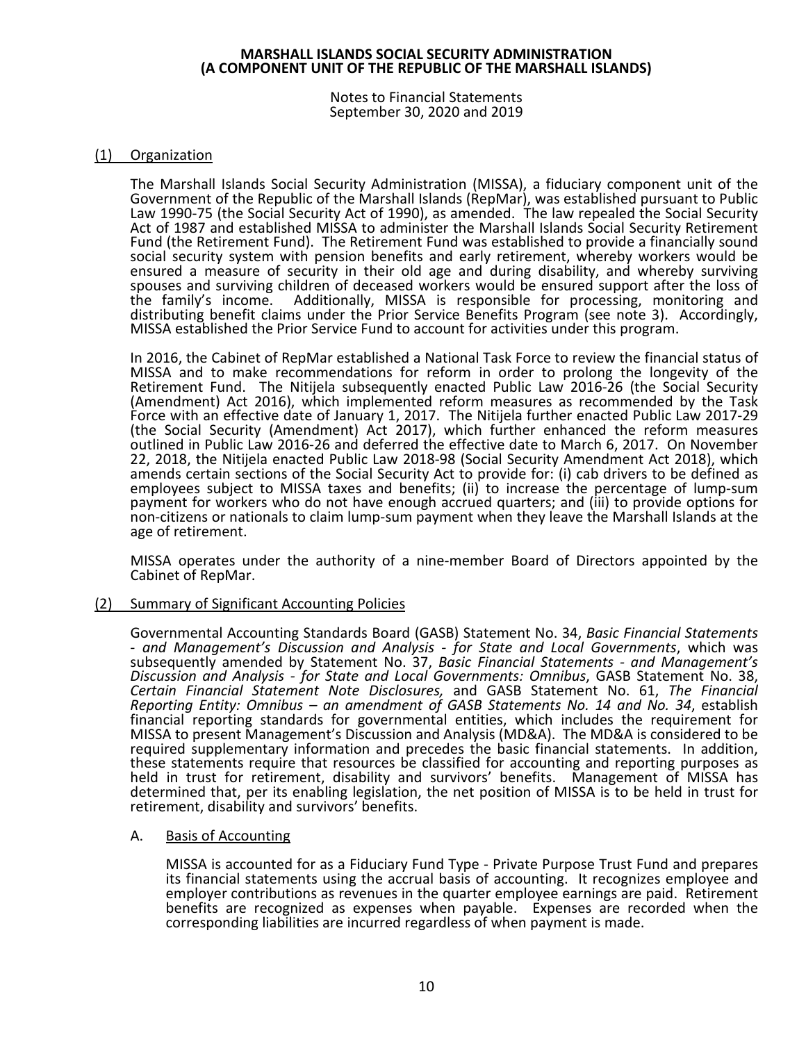Notes to Financial Statements September 30, 2020 and 2019

# (1) Organization

The Marshall Islands Social Security Administration (MISSA), a fiduciary component unit of the Government of the Republic of the Marshall Islands (RepMar), was established pursuant to Public Law 1990-75 (the Social Security Act of 1990), as amended. The law repealed the Social Security Act of 1987 and established MISSA to administer the Marshall Islands Social Security Retirement Fund (the Retirement Fund). The Retirement Fund was established to provide a financially sound social security system with pension benefits and early retirement, whereby workers would be ensured a measure of security in their old age and during disability, and whereby surviving spouses and surviving children of deceased workers would be ensured support after the loss of the family's income. Additionally, MISSA is responsible for processing, monitoring and distributing benefit claims under the Prior Service Benefits Program (see note 3). Accordingly, MISSA established the Prior Service Fund to account for activities under this program.

In 2016, the Cabinet of RepMar established a National Task Force to review the financial status of MISSA and to make recommendations for reform in order to prolong the longevity of the Retirement Fund. The Nitijela subsequently enacted Public Law 2016-26 (the Social Security (Amendment) Act 2016), which implemented reform measures as recommended by the Task Force with an effective date of January 1, 2017. The Nitijela further enacted Public Law 2017-29 (the Social Security (Amendment) Act 2017), which further enhanced the reform measures outlined in Public Law 2016-26 and deferred the effective date to March 6, 2017. On November 22, 2018, the Nitijela enacted Public Law 2018-98 (Social Security Amendment Act 2018), which amends certain sections of the Social Security Act to provide for: (i) cab drivers to be defined as employees subject to MISSA taxes and benefits; (ii) to increase the percentage of lump-sum payment for workers who do not have enough accrued quarters; and (iii) to provide options for non-citizens or nationals to claim lump-sum payment when they leave the Marshall Islands at the age of retirement.

MISSA operates under the authority of a nine-member Board of Directors appointed by the Cabinet of RepMar.

# (2) Summary of Significant Accounting Policies

Governmental Accounting Standards Board (GASB) Statement No. 34, *Basic Financial Statements - and Management's Discussion and Analysis - for State and Local Governments*, which was subsequently amended by Statement No. 37, *Basic Financial Statements - and Management's Discussion and Analysis - for State and Local Governments: Omnibus*, GASB Statement No. 38, *Certain Financial Statement Note Disclosures,* and GASB Statement No. 61, *The Financial Reporting Entity: Omnibus – an amendment of GASB Statements No. 14 and No. 34*, establish financial reporting standards for governmental entities, which includes the requirement for MISSA to present Management's Discussion and Analysis (MD&A). The MD&A is considered to be required supplementary information and precedes the basic financial statements. In addition, these statements require that resources be classified for accounting and reporting purposes as held in trust for retirement, disability and survivors' benefits. Management of MISSA has determined that, per its enabling legislation, the net position of MISSA is to be held in trust for retirement, disability and survivors' benefits.

# A. Basis of Accounting

MISSA is accounted for as a Fiduciary Fund Type - Private Purpose Trust Fund and prepares its financial statements using the accrual basis of accounting. It recognizes employee and employer contributions as revenues in the quarter employee earnings are paid. Retirement benefits are recognized as expenses when payable. Expenses are recorded when the corresponding liabilities are incurred regardless of when payment is made.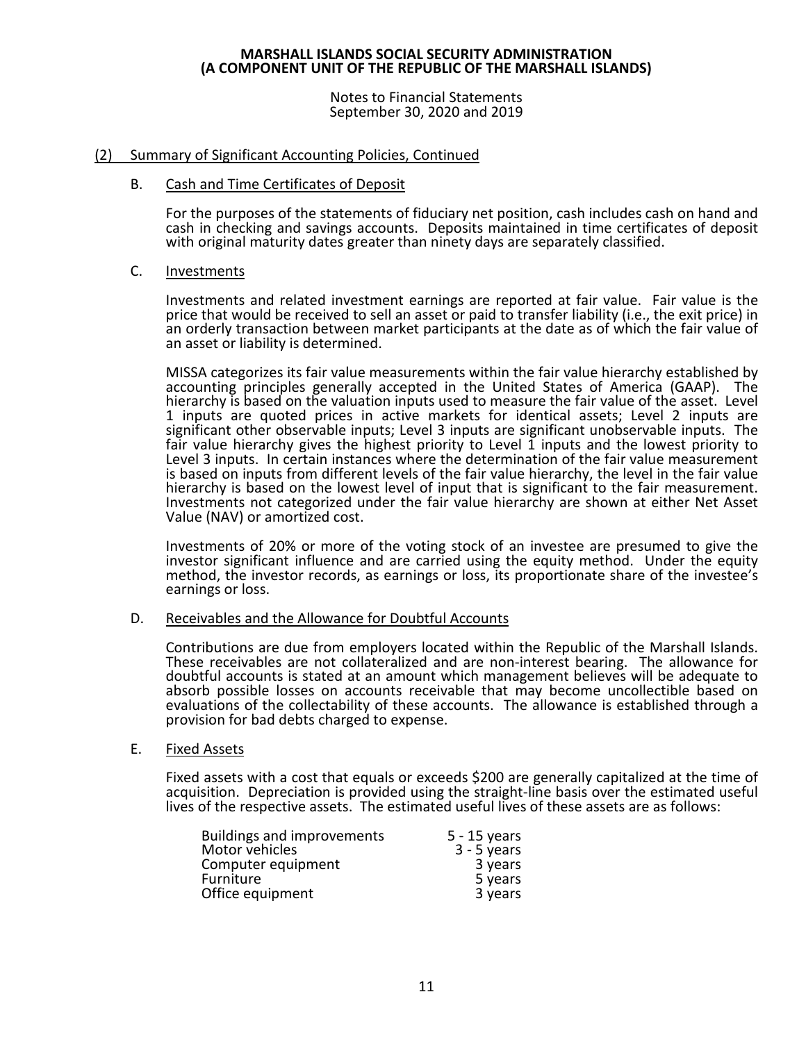Notes to Financial Statements September 30, 2020 and 2019

### (2) Summary of Significant Accounting Policies, Continued

#### B. Cash and Time Certificates of Deposit

For the purposes of the statements of fiduciary net position, cash includes cash on hand and cash in checking and savings accounts. Deposits maintained in time certificates of deposit with original maturity dates greater than ninety days are separately classified.

#### C. Investments

Investments and related investment earnings are reported at fair value. Fair value is the price that would be received to sell an asset or paid to transfer liability (i.e., the exit price) in an orderly transaction between market participants at the date as of which the fair value of an asset or liability is determined.

MISSA categorizes its fair value measurements within the fair value hierarchy established by accounting principles generally accepted in the United States of America (GAAP). The hierarchy is based on the valuation inputs used to measure the fair value of the asset. Level 1 inputs are quoted prices in active markets for identical assets; Level 2 inputs are significant other observable inputs; Level 3 inputs are significant unobservable inputs. The fair value hierarchy gives the highest priority to Level  $\overline{1}$  inputs and the lowest priority to Level 3 inputs. In certain instances where the determination of the fair value measurement is based on inputs from different levels of the fair value hierarchy, the level in the fair value hierarchy is based on the lowest level of input that is significant to the fair measurement. Investments not categorized under the fair value hierarchy are shown at either Net Asset Value (NAV) or amortized cost.

Investments of 20% or more of the voting stock of an investee are presumed to give the investor significant influence and are carried using the equity method. Under the equity method, the investor records, as earnings or loss, its proportionate share of the investee's earnings or loss.

#### D. Receivables and the Allowance for Doubtful Accounts

Contributions are due from employers located within the Republic of the Marshall Islands. These receivables are not collateralized and are non-interest bearing. The allowance for doubtful accounts is stated at an amount which management believes will be adequate to absorb possible losses on accounts receivable that may become uncollectible based on evaluations of the collectability of these accounts. The allowance is established through a provision for bad debts charged to expense.

#### E. Fixed Assets

Fixed assets with a cost that equals or exceeds \$200 are generally capitalized at the time of acquisition. Depreciation is provided using the straight-line basis over the estimated useful lives of the respective assets. The estimated useful lives of these assets are as follows:

| <b>Buildings and improvements</b> | $5 - 15$ years |
|-----------------------------------|----------------|
| Motor vehicles                    | $3 - 5$ years  |
| Computer equipment                | 3 years        |
| <b>Furniture</b>                  | 5 years        |
| Office equipment                  | 3 years        |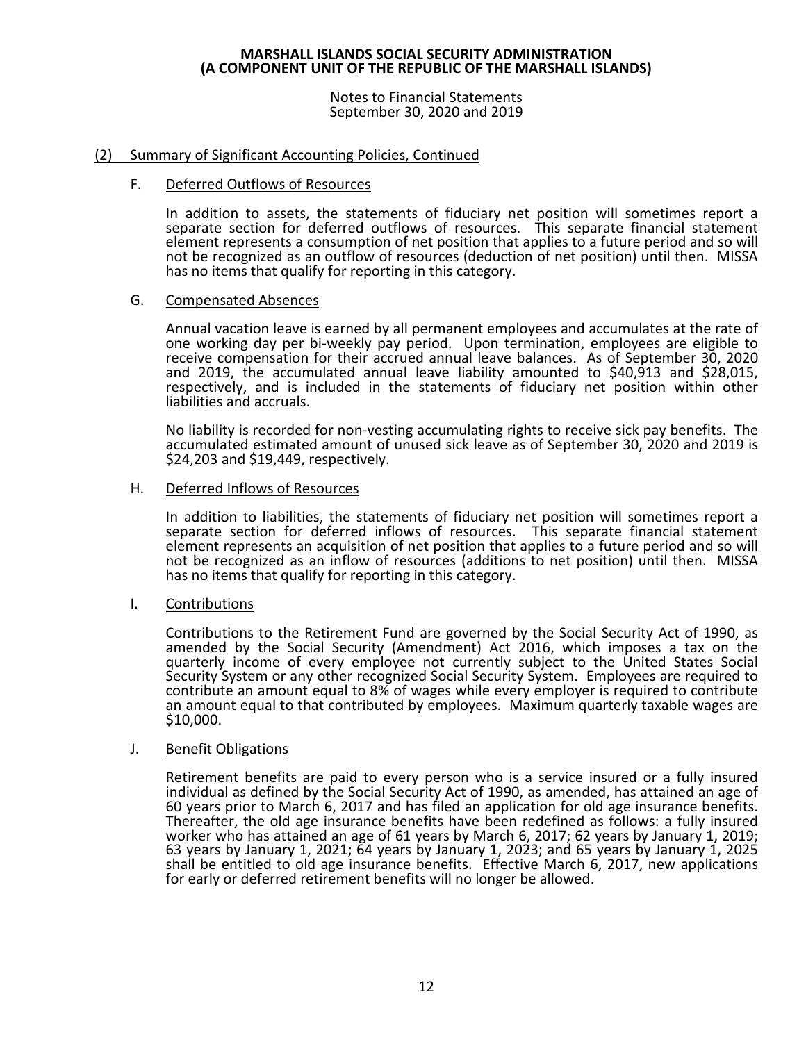Notes to Financial Statements September 30, 2020 and 2019

### (2) Summary of Significant Accounting Policies, Continued

#### F. Deferred Outflows of Resources

In addition to assets, the statements of fiduciary net position will sometimes report a separate section for deferred outflows of resources. This separate financial statement element represents a consumption of net position that applies to a future period and so will not be recognized as an outflow of resources (deduction of net position) until then. MISSA has no items that qualify for reporting in this category.

#### G. Compensated Absences

Annual vacation leave is earned by all permanent employees and accumulates at the rate of one working day per bi-weekly pay period. Upon termination, employees are eligible to receive compensation for their accrued annual leave balances. As of September 30, 2020 and 2019, the accumulated annual leave liability amounted to \$40,913 and \$28,015,<br>respectively, and is included in the statements of fiduciary net position within other liabilities and accruals.

No liability is recorded for non-vesting accumulating rights to receive sick pay benefits. The accumulated estimated amount of unused sick leave as of September 30, 2020 and 2019 is \$24,203 and \$19,449, respectively.

#### H. Deferred Inflows of Resources

In addition to liabilities, the statements of fiduciary net position will sometimes report a separate section for deferred inflows of resources. This separate financial statement element represents an acquisition of net position that applies to a future period and so will not be recognized as an inflow of resources (additions to net position) until then. MISSA has no items that qualify for reporting in this category.

# I. Contributions

Contributions to the Retirement Fund are governed by the Social Security Act of 1990, as amended by the Social Security (Amendment) Act 2016, which imposes a tax on the quarterly income of every employee not currently subject to the United States Social Security System or any other recognized Social Security System. Employees are required to contribute an amount equal to 8% of wages while every employer is required to contribute an amount equal to that contributed by employees. Maximum quarterly taxable wages are \$10,000.

#### J. Benefit Obligations

Retirement benefits are paid to every person who is a service insured or a fully insured individual as defined by the Social Security Act of 1990, as amended, has attained an age of 60 years prior to March 6, 2017 and has filed an application for old age insurance benefits. Thereafter, the old age insurance benefits have been redefined as follows: a fully insured worker who has attained an age of 61 years by March 6, 2017; 62 years by January 1, 2019; 63 years by January 1, 2021; 64 years by January 1, 2023; and 65 years by January 1, 2025 shall be entitled to old age insurance benefits. Effective March 6, 2017, new applications for early or deferred retirement benefits will no longer be allowed.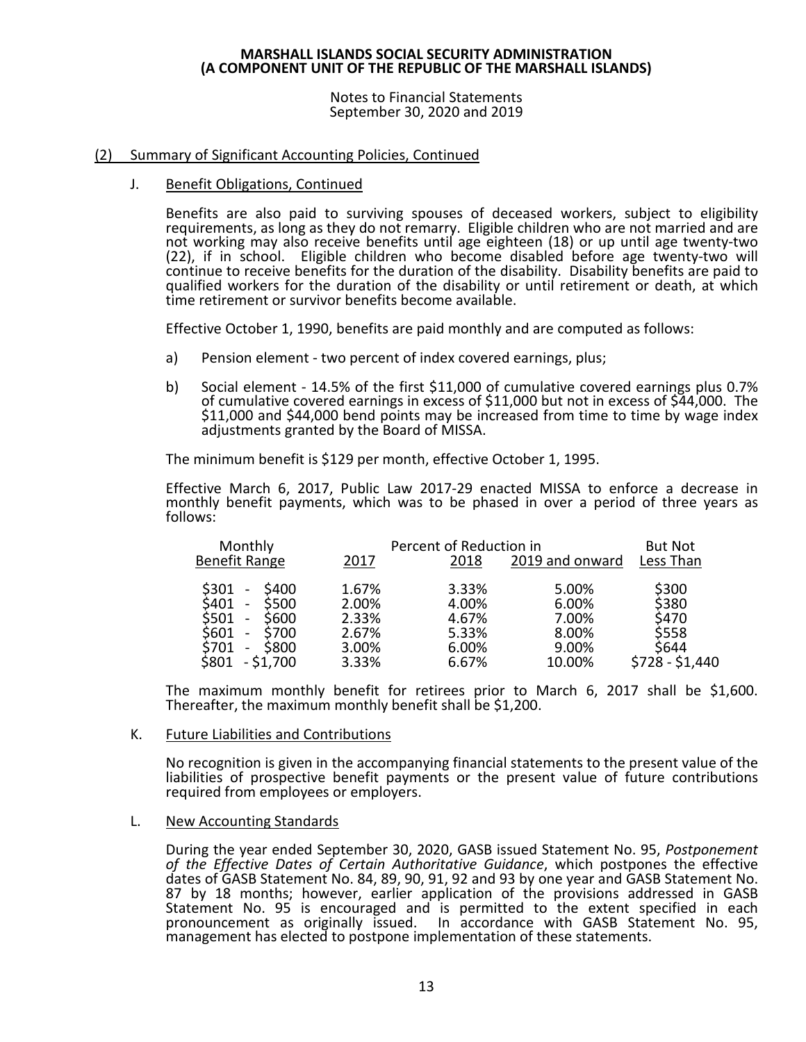Notes to Financial Statements September 30, 2020 and 2019

### (2) Summary of Significant Accounting Policies, Continued

J. Benefit Obligations, Continued

Benefits are also paid to surviving spouses of deceased workers, subject to eligibility requirements, as long as they do not remarry. Eligible children who are not married and are not working may also receive benefits until age eighteen (18) or up until age twenty-two (22), if in school. Eligible children who become disabled before age twenty-two will continue to receive benefits for the duration of the disability. Disability benefits are paid to qualified workers for the duration of the disability or until retirement or death, at which time retirement or survivor benefits become available.

Effective October 1, 1990, benefits are paid monthly and are computed as follows:

- a) Pension element two percent of index covered earnings, plus;
- b) Social element 14.5% of the first \$11,000 of cumulative covered earnings plus 0.7% of cumulative covered earnings in excess of \$11,000 but not in excess of \$44,000. The \$11,000 and \$44,000 bend points may be increased from time to time by wage index adjustments granted by the Board of MISSA.

The minimum benefit is \$129 per month, effective October 1, 1995.

Effective March 6, 2017, Public Law 2017-29 enacted MISSA to enforce a decrease in monthly benefit payments, which was to be phased in over a period of three years as follows:

| Monthly                                                                                                                                                |                                  | Percent of Reduction in          |                                  | <b>But Not</b>                   |
|--------------------------------------------------------------------------------------------------------------------------------------------------------|----------------------------------|----------------------------------|----------------------------------|----------------------------------|
| Benefit Range                                                                                                                                          | 2017                             | 2018                             | 2019 and onward                  | Less Than                        |
| \$301<br>\$400<br>\$500<br>\$401<br>$\overline{\phantom{a}}$<br>\$501<br>\$600<br>$\overline{\phantom{a}}$<br>S601<br>S700<br>$\overline{\phantom{a}}$ | 1.67%<br>2.00%<br>2.33%<br>2.67% | 3.33%<br>4.00%<br>4.67%<br>5.33% | 5.00%<br>6.00%<br>7.00%<br>8.00% | \$300<br>\$380<br>\$470<br>\$558 |
| S701<br><b>S800</b><br>-<br>$-$ \$1,700<br>S801                                                                                                        | 3.00%<br>3.33%                   | 6.00%<br>6.67%                   | 9.00%<br>10.00%                  | \$644<br>\$728 - \$1,440         |

The maximum monthly benefit for retirees prior to March 6, 2017 shall be \$1,600. Thereafter, the maximum monthly benefit shall be \$1,200.

#### K. Future Liabilities and Contributions

No recognition is given in the accompanying financial statements to the present value of the liabilities of prospective benefit payments or the present value of future contributions required from employees or employers.

#### L. New Accounting Standards

During the year ended September 30, 2020, GASB issued Statement No. 95, *Postponement of the Effective Dates of Certain Authoritative Guidance*, which postpones the effective dates of GASB Statement No. 84, 89, 90, 91, 92 and 93 by one year and GASB Statement No. 87 by 18 months; however, earlier application of the provisions addressed in GASB Statement No. 95 is encouraged and is permitted to the extent specified in each pronouncement as originally issued. In accordance with GASB Statement No. 95, management has elected to postpone implementation of these statements.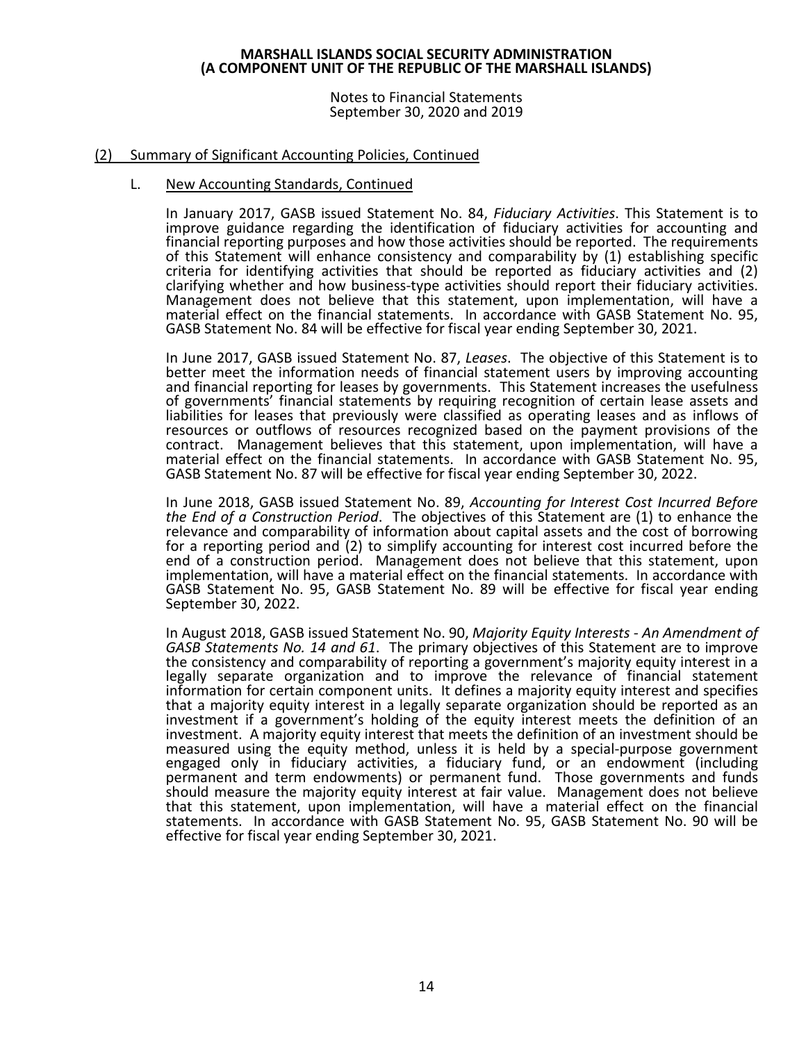Notes to Financial Statements September 30, 2020 and 2019

### (2) Summary of Significant Accounting Policies, Continued

#### L. New Accounting Standards, Continued

In January 2017, GASB issued Statement No. 84, *Fiduciary Activities*. This Statement is to improve guidance regarding the identification of fiduciary activities for accounting and financial reporting purposes and how those activities should be reported. The requirements of this Statement will enhance consistency and comparability by (1) establishing specific criteria for identifying activities that should be reported as fiduciary activities and (2) Management does not believe that this statement, upon implementation, will have a material effect on the financial statements. In accordance with GASB Statement No. 95, GASB Statement No. 84 will be effective for fiscal year ending September 30, 2021.

In June 2017, GASB issued Statement No. 87, *Leases*. The objective of this Statement is to better meet the information needs of financial statement users by improving accounting and financial reporting for leases by governments. This Statement increases the usefulness of governments' financial statements by requiring recognition of certain lease assets and liabilities for leases that previously were classified as operating leases and as inflows of resources or outflows of resources recognized based on the payment provisions of the contract. Management believes that this statement, upon implementation, will have a material effect on the financial statements. In accordance with GASB Statement No. 95, GASB Statement No. 87 will be effective for fiscal year ending September 30, 2022.

In June 2018, GASB issued Statement No. 89, *Accounting for Interest Cost Incurred Before the End of a Construction Period*. The objectives of this Statement are (1) to enhance the relevance and comparability of information about capital assets and the cost of borrowing for a reporting period and (2) to simplify accounting for interest cost incurred before the end of a construction period. Management does not believe that this statement, upon implementation, will have a material effect on the financial statements. In accordance with GASB Statement No. 95, GASB Statement No. 89 will be effective for fiscal year ending September 30, 2022.

In August 2018, GASB issued Statement No. 90, *Majority Equity Interests - An Amendment of GASB Statements No. 14 and 61*. The primary objectives of this Statement are to improve the consistency and comparability of reporting a government's majority equity interest in a legally separate organization and to improve the relevance of financial statement information for certain component units. It defines a majority equity interest and specifies that a majority equity interest in a legally separate organization should be reported as an investment if a government's holding of the equity interest meets the definition of an investment. A majority equity interest that meets the definition of an investment should be measured using the equity method, unless it is held by a special-purpose government engaged only in fiduciary activities, a fiduciary fund, or an endowment (including permanent and term endowments) or permanent fund. Those governments and funds should measure the majority equity interest at fair value. Management does not believe that this statement, upon implementation, will have a material effect on the financial statements. In accordance with GASB Statement No. 95, GASB Statement No. 90 will be effective for fiscal year ending September 30, 2021.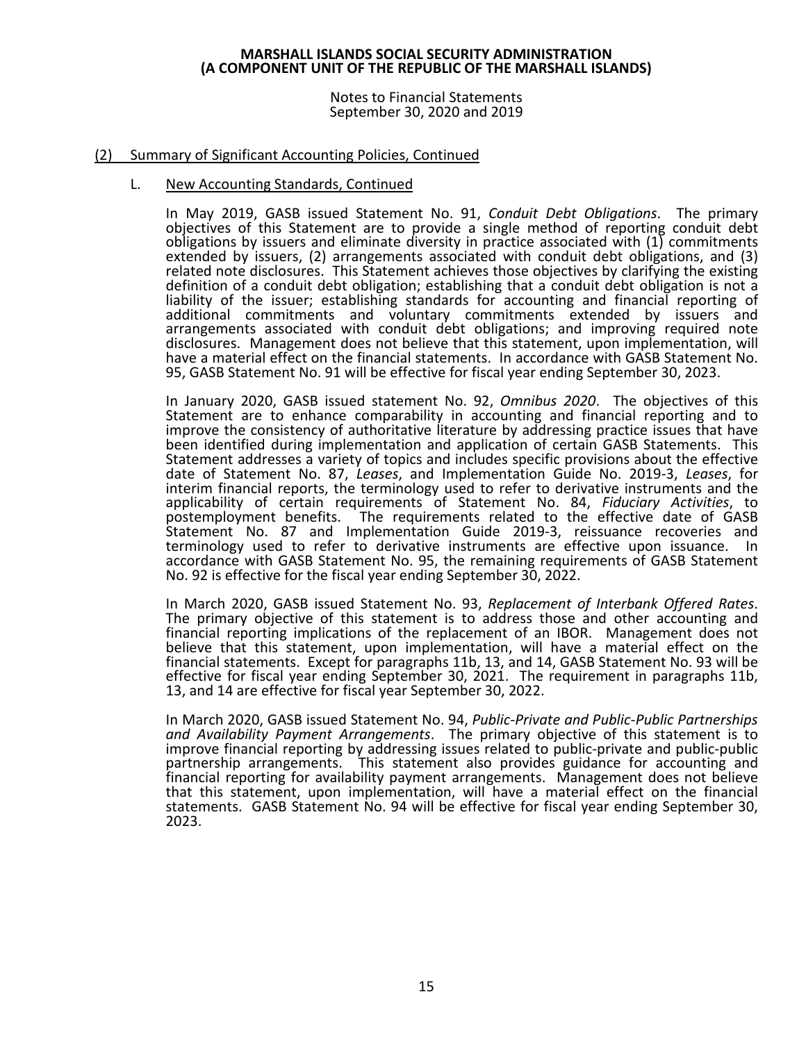Notes to Financial Statements September 30, 2020 and 2019

### (2) Summary of Significant Accounting Policies, Continued

#### L. New Accounting Standards, Continued

In May 2019, GASB issued Statement No. 91, *Conduit Debt Obligations*. The primary objectives of this Statement are to provide a single method of reporting conduit debt obligations by issuers and eliminate diversity in practice associated with (1) commitments extended by issuers, (2) arrangements associated with conduit debt obligations, and (3) related note disclosures. This Statement achieves those objectives by clarifying the existing definition of a conduit debt obligation; establishing that a conduit debt obligation is not a liability of the issuer; establishing standards for accounting and financial reporting of additional commitments and voluntary commitments extended by issuers and arrangements associated with conduit debt obligations; and improving required note disclosures. Management does not believe that this statement, upon implementation, will have a material effect on the financial statements. In accordance with GASB Statement No. 95, GASB Statement No. 91 will be effective for fiscal year ending September 30, 2023.

In January 2020, GASB issued statement No. 92, *Omnibus 2020*. The objectives of this Statement are to enhance comparability in accounting and financial reporting and to improve the consistency of authoritative literature by addressing practice issues that have been identified during implementation and application of certain GASB Statements. This Statement addresses a variety of topics and includes specific provisions about the effective date of Statement No. 87, *Leases*, and Implementation Guide No. 2019-3, *Leases*, for interim financial reports, the terminology used to refer to derivative instruments and the applicability of certain requirements of Statement No. 84, *Fiduciary Activities*, to<br>postemployment benefits. The requirements related to the effective date of GASB The requirements related to the effective date of GASB Statement No. 87 and Implementation Guide 2019-3, reissuance recoveries and terminology used to refer to derivative instruments are effective upon issuance. In accordance with GASB Statement No. 95, the remaining requirements of GASB Statement No. 92 is effective for the fiscal year ending September 30, 2022.

In March 2020, GASB issued Statement No. 93, *Replacement of Interbank Offered Rates*. The primary objective of this statement is to address those and other accounting and financial reporting implications of the replacement of an IBOR. Management does not believe that this statement, upon implementation, will have a material effect on the financial statements. Except for paragraphs 11b, 13, and 14, GASB Statement No. 93 will be effective for fiscal year ending September 30, 2021. The requirement in paragraphs 11b, 13, and 14 are effective for fiscal year September 30, 2022.

In March 2020, GASB issued Statement No. 94, *Public-Private and Public-Public Partnerships and Availability Payment Arrangements*. The primary objective of this statement is to improve financial reporting by addressing issues related to public-private and public-public partnership arrangements. This statement also provides guidance for accounting and financial reporting for availability payment arrangements. Management does not believe that this statement, upon implementation, will have a material effect on the financial statements. GASB Statement No. 94 will be effective for fiscal year ending September 30, 2023.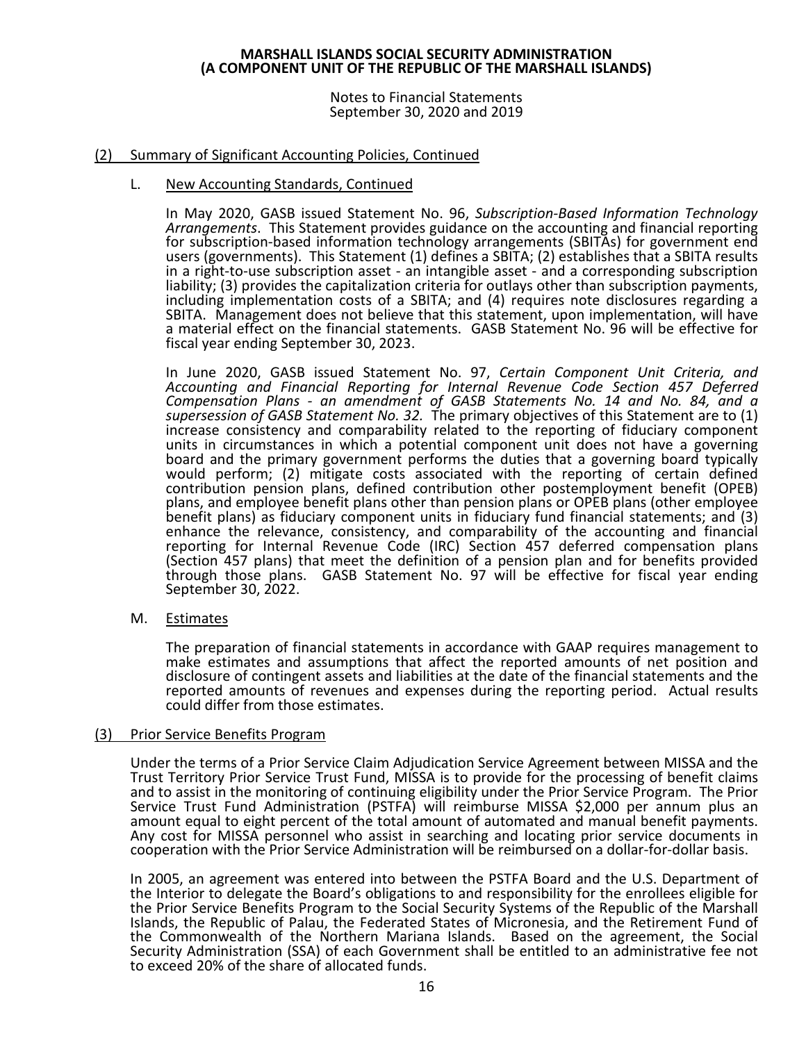Notes to Financial Statements September 30, 2020 and 2019

# (2) Summary of Significant Accounting Policies, Continued

### L. New Accounting Standards, Continued

In May 2020, GASB issued Statement No. 96, *Subscription-Based Information Technology Arrangements*. This Statement provides guidance on the accounting and financial reporting for subscription-based information technology arrangements (SBITAs) for government end users (governments). This Statement (1) defines a SBITA; (2) establishes that a SBITA results in a right-to-use subscription asset - an intangible asset - and a corresponding subscription liability; (3) provides the capitalization criteria for outlays other than subscription payments, including implementation costs of a SBITA; and (4) requires note disclosures regarding a SBITA. Management does not believe that this statement, upon implementation, will have a material effect on the financial statements. GASB Statement No. 96 will be effective for fiscal year ending September 30, 2023.

In June 2020, GASB issued Statement No. 97, *Certain Component Unit Criteria, and Accounting and Financial Reporting for Internal Revenue Code Section 457 Deferred Compensation Plans - an amendment of GASB Statements No. 14 and No. 84, and a supersession of GASB Statement No. 32.* The primary objectives of this Statement are to (1) increase consistency and comparability related to the reporting of fiduciary component units in circumstances in which a potential component unit does not have a governing board and the primary government performs the duties that a governing board typically would perform; (2) mitigate costs associated with the reporting of certain defined contribution pension plans, defined contribution other postemployment benefit (OPEB) plans, and employee benefit plans other than pension plans or OPEB plans (other employee benefit plans) as fiduciary component units in fiduciary fund financial statements; and (3) enhance the relevance, consistency, and comparability of the accounting and financial reporting for Internal Revenue Code (IRC) Section 457 deferred compensation plans (Section 457 plans) that meet the definition of a pension plan and for benefits provided through those plans. GASB Statement No. 97 will be effective for fiscal year ending September 30, 2022.

# M. Estimates

The preparation of financial statements in accordance with GAAP requires management to make estimates and assumptions that affect the reported amounts of net position and disclosure of contingent assets and liabilities at the date of the financial statements and the reported amounts of revenues and expenses during the reporting period. Actual results could differ from those estimates.

#### (3) Prior Service Benefits Program

Under the terms of a Prior Service Claim Adjudication Service Agreement between MISSA and the Trust Territory Prior Service Trust Fund, MISSA is to provide for the processing of benefit claims and to assist in the monitoring of continuing eligibility under the Prior Service Program. The Prior Service Trust Fund Administration (PSTFA) will reimburse MISSA \$2,000 per annum plus an amount equal to eight percent of the total amount of automated and manual benefit payments. Any cost for MISSA personnel who assist in searching and locating prior service documents in cooperation with the Prior Service Administration will be reimbursed on a dollar-for-dollar basis.

In 2005, an agreement was entered into between the PSTFA Board and the U.S. Department of the Interior to delegate the Board's obligations to and responsibility for the enrollees eligible for the Prior Service Benefits Program to the Social Security Systems of the Republic of the Marshall Islands, the Republic of Palau, the Federated States of Micronesia, and the Retirement Fund of the Commonwealth of the Northern Mariana Islands. Based on the agreement, the Social Security Administration (SSA) of each Government shall be entitled to an administrative fee not to exceed 20% of the share of allocated funds.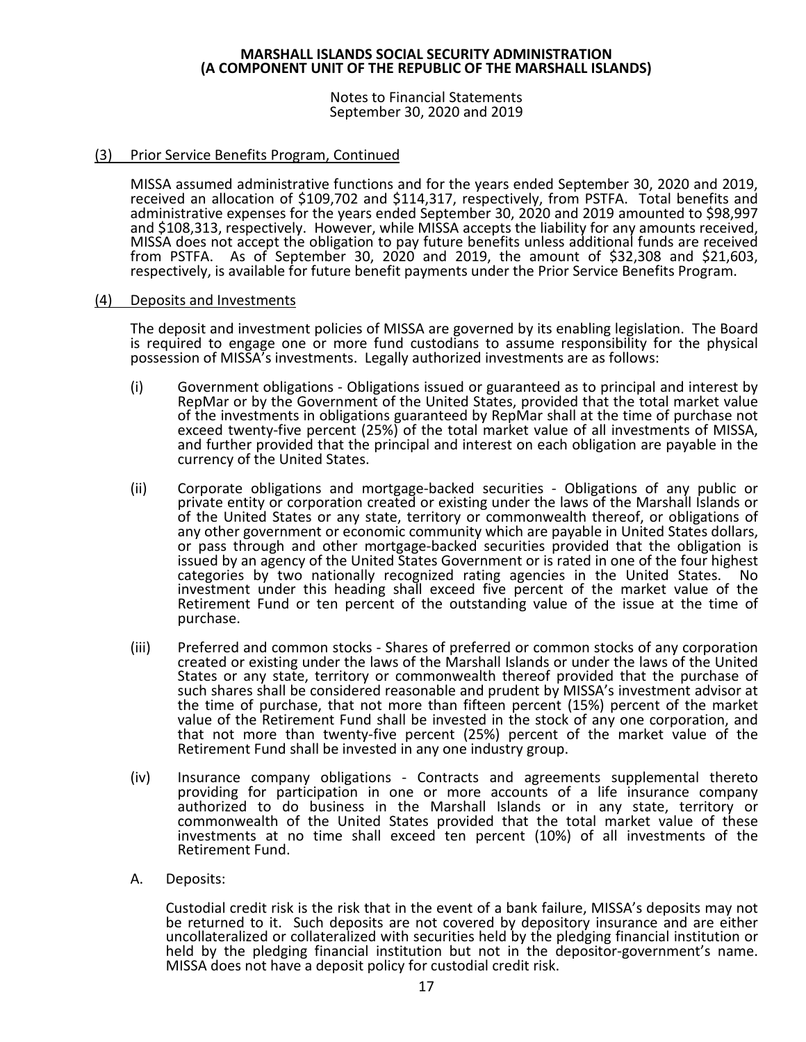Notes to Financial Statements September 30, 2020 and 2019

### (3) Prior Service Benefits Program, Continued

MISSA assumed administrative functions and for the years ended September 30, 2020 and 2019, received an allocation of \$109,702 and \$114,317, respectively, from PSTFA. Total benefits and administrative expenses for the years ended September 30, 2020 and 2019 amounted to \$98,997 and \$108,313, respectively. However, while MISSA accepts the liability for any amounts received, MISSA does not accept the obligation to pay future benefits unless additional funds are received from PSTFA. As of September 30, 2020 and 2019, the amount of \$32,308 and \$21,603, respectively, is available for future benefit payments under the Prior Service Benefits Program.

#### (4) Deposits and Investments

The deposit and investment policies of MISSA are governed by its enabling legislation. The Board is required to engage one or more fund custodians to assume responsibility for the physical possession of MISSA's investments. Legally authorized investments are as follows:

- (i) Government obligations Obligations issued or guaranteed as to principal and interest by RepMar or by the Government of the United States, provided that the total market value of the investments in obligations guaranteed by RepMar shall at the time of purchase not exceed twenty-five percent (25%) of the total market value of all investments of MISSA, and further provided that the principal and interest on each obligation are payable in the currency of the United States.
- (ii) Corporate obligations and mortgage-backed securities Obligations of any public or private entity or corporation created or existing under the laws of the Marshall Islands or of the United States or any state, territory or commonwealth thereof, or obligations of any other government or economic community which are payable in United States dollars, or pass through and other mortgage-backed securities provided that the obligation is issued by an agency of the United States Government or is rated in one of the four highest categories by two nationally recognized rating agencies in the United States. No investment under this heading shall exceed five percent of the market value of the Retirement Fund or ten percent of the outstanding value of the issue at the time of purchase.
- (iii) Preferred and common stocks Shares of preferred or common stocks of any corporation created or existing under the laws of the Marshall Islands or under the laws of the United States or any state, territory or commonwealth thereof provided that the purchase of such shares shall be considered reasonable and prudent by MISSA's investment advisor at the time of purchase, that not more than fifteen percent (15%) percent of the market value of the Retirement Fund shall be invested in the stock of any one corporation, and that not more than twenty-five percent (25%) percent of the market value of the Retirement Fund shall be invested in any one industry group.
- (iv) Insurance company obligations Contracts and agreements supplemental thereto providing for participation in one or more accounts of a life insurance company authorized to do business in the Marshall Islands or in any state, territory or commonwealth of the United States provided that the total market value of these investments at no time shall exceed ten percent (10%) of all investments of the Retirement Fund.
- A. Deposits:

Custodial credit risk is the risk that in the event of a bank failure, MISSA's deposits may not be returned to it. Such deposits are not covered by depository insurance and are either uncollateralized or collateralized with securities held by the pledging financial institution or held by the pledging financial institution but not in the depositor-government's name. MISSA does not have a deposit policy for custodial credit risk.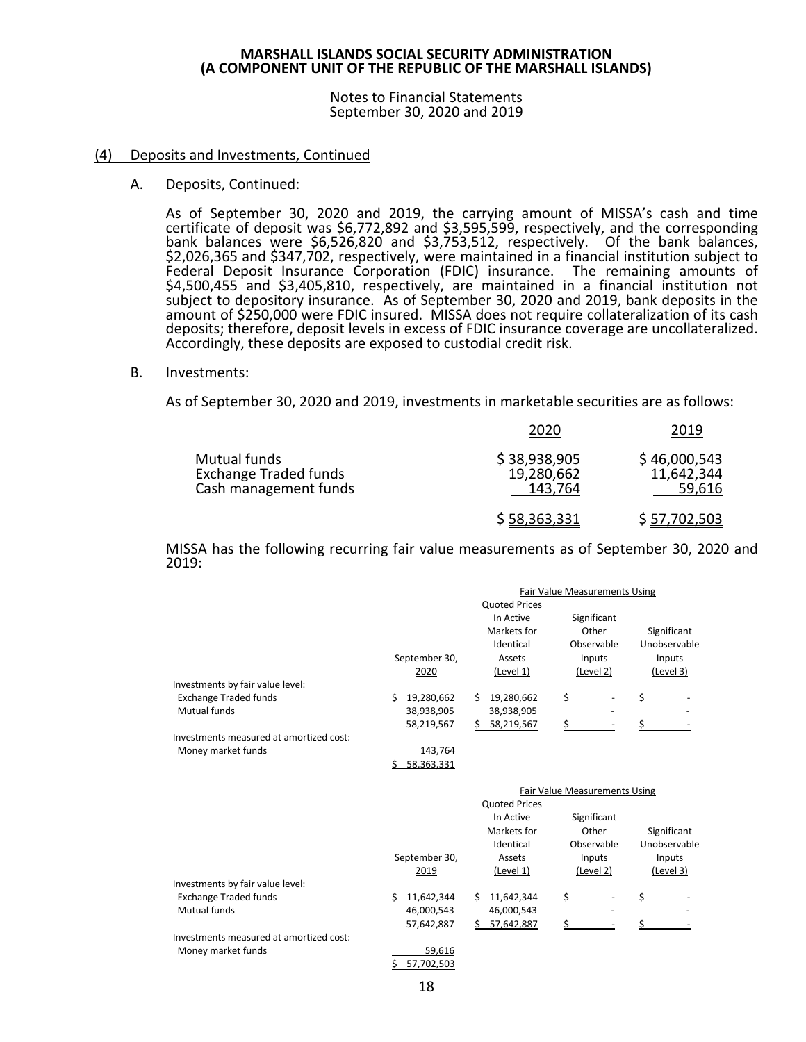Notes to Financial Statements September 30, 2020 and 2019

#### (4) Deposits and Investments, Continued

A. Deposits, Continued:

As of September 30, 2020 and 2019, the carrying amount of MISSA's cash and time certificate of deposit was \$6,772,892 and \$3,595,599, respectively, and the corresponding bank balances were \$6,526,820 and \$3,753,512, respectively. Of the bank balances, \$2,026,365 and \$347,702, respectively, were maintained in a financial institution subject to Federal Deposit Insurance Corporation (FDIC) insurance. The remaining amounts of \$4,500,455 and \$3,405,810, respectively, are maintained in a financial institution not subject to depository insurance. As of September 30, 2020 and 2019, bank deposits in the amount of \$250,000 were FDIC insured. MISSA does not require collateralization of its cash deposits; therefore, deposit levels in excess of FDIC insurance coverage are uncollateralized. Accordingly, these deposits are exposed to custodial credit risk.

B. Investments:

As of September 30, 2020 and 2019, investments in marketable securities are as follows:

|                                                                       | 2020                                  | 2019                                 |
|-----------------------------------------------------------------------|---------------------------------------|--------------------------------------|
| Mutual funds<br><b>Exchange Traded funds</b><br>Cash management funds | \$38,938,905<br>19,280,662<br>143,764 | \$46,000,543<br>11,642,344<br>59,616 |
|                                                                       | \$58,363,331                          | \$ 57,702,503                        |

MISSA has the following recurring fair value measurements as of September 30, 2020 and 2019:

|                                         |                  |                      | Fair Value Measurements Using |              |
|-----------------------------------------|------------------|----------------------|-------------------------------|--------------|
|                                         |                  | <b>Quoted Prices</b> |                               |              |
|                                         |                  | In Active            | Significant                   |              |
|                                         |                  | Markets for          | Other                         | Significant  |
|                                         |                  | Identical            | Observable                    | Unobservable |
|                                         | September 30,    | Assets               | Inputs                        | Inputs       |
|                                         | 2020             | (Level 1)            | (Level 2)                     | (Level 3)    |
| Investments by fair value level:        |                  |                      |                               |              |
| <b>Exchange Traded funds</b>            | 19,280,662<br>Ŝ. | 19,280,662<br>Ś.     | \$                            | \$           |
| Mutual funds                            | 38,938,905       | 38,938,905           |                               |              |
|                                         | 58,219,567       | Ś.<br>58,219,567     | Ś                             |              |
| Investments measured at amortized cost: |                  |                      |                               |              |
| Money market funds                      | 143,764          |                      |                               |              |
|                                         | 58,363,331       |                      |                               |              |
|                                         |                  |                      |                               |              |
|                                         |                  |                      |                               |              |
|                                         |                  |                      | Fair Value Measurements Using |              |
|                                         |                  | <b>Quoted Prices</b> |                               |              |
|                                         |                  | In Active            | Significant                   |              |
|                                         |                  | Markets for          | Other                         | Significant  |
|                                         |                  | Identical            | Observable                    | Unobservable |
|                                         | September 30,    | Assets               | Inputs                        | Inputs       |
|                                         | 2019             | (Level 1)            | (Level 2)                     | (Level 3)    |
| Investments by fair value level:        |                  |                      |                               |              |
| <b>Exchange Traded funds</b>            | 11,642,344<br>Ŝ. | 11,642,344<br>Ŝ.     | \$                            | \$           |
| <b>Mutual funds</b>                     | 46,000,543       | 46,000,543           |                               |              |
|                                         | 57,642,887       | 57,642,887           |                               |              |
| Investments measured at amortized cost: |                  |                      |                               |              |
| Money market funds                      | 59,616           |                      |                               |              |
|                                         | 57,702,503       |                      |                               |              |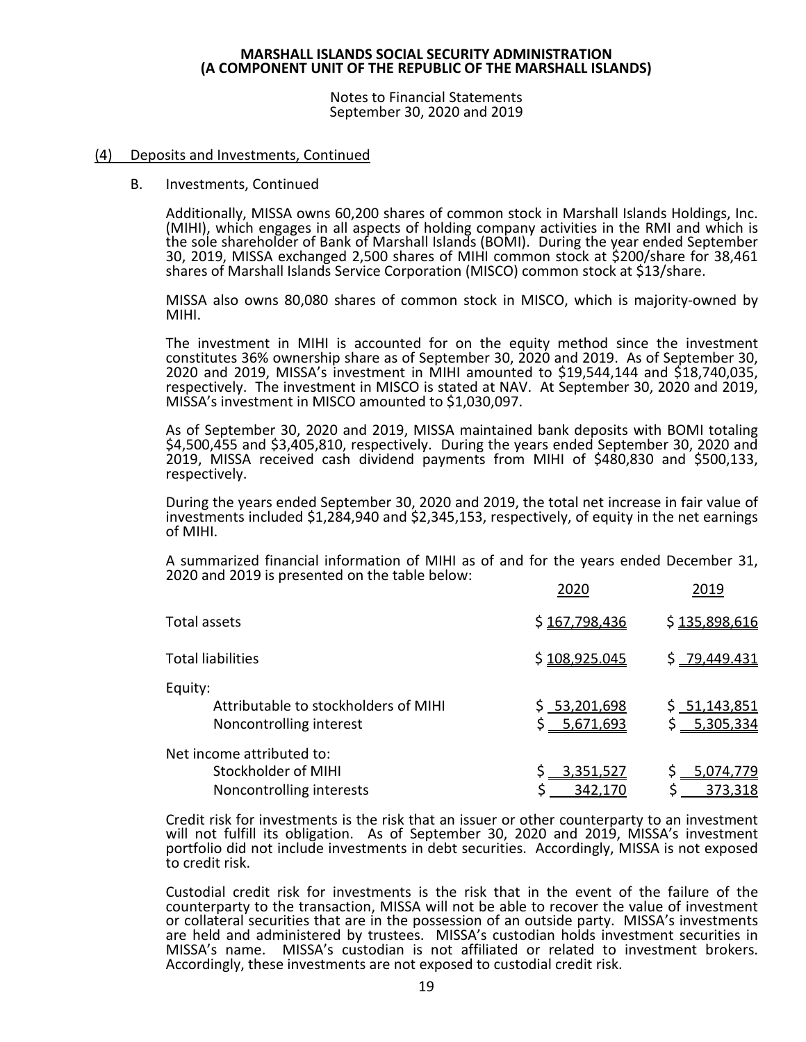Notes to Financial Statements September 30, 2020 and 2019

#### (4) Deposits and Investments, Continued

B. Investments, Continued

Additionally, MISSA owns 60,200 shares of common stock in Marshall Islands Holdings, Inc. (MIHI), which engages in all aspects of holding company activities in the RMI and which is the sole shareholder of Bank of Marshall Islands (BOMI). During the year ended September 30, 2019, MISSA exchanged 2,500 shares of MIHI common stock at \$200/share for 38,461 shares of Marshall Islands Service Corporation (MISCO) common stock at \$13/share.

MISSA also owns 80,080 shares of common stock in MISCO, which is majority-owned by MIHI.

The investment in MIHI is accounted for on the equity method since the investment constitutes 36% ownership share as of September 30, 2020 and 2019. As of September 30, respectively. The investment in MISCO is stated at NAV. At September 30, 2020 and 2019, MISSA's investment in MISCO amounted to \$1,030,097.

As of September 30, 2020 and 2019, MISSA maintained bank deposits with BOMI totaling<br>\$4,500,455 and \$3,405,810, respectively. During the years ended September 30, 2020 and 2019, MISSA received cash dividend payments from MIHI of \$480,830 and \$500,133,<br>respectively.

During the years ended September 30, 2020 and 2019, the total net increase in fair value of investments included \$1,284,940 and \$2,345,153, respectively, of equity in the net earnings of MIHI.

A summarized financial information of MIHI as of and for the years ended December 31, 2020 and 2019 is presented on the table below: 2020 2019

| Total assets                                                                 | \$167,798,436                 | \$135,898,616                           |
|------------------------------------------------------------------------------|-------------------------------|-----------------------------------------|
| <b>Total liabilities</b>                                                     | \$108,925.045                 | \$ 79,449.431                           |
| Equity:<br>Attributable to stockholders of MIHI<br>Noncontrolling interest   | \$ 53,201,698<br>\$ 5,671,693 | \$ <u>51,143,851</u> \$<br>\$ 5,305,334 |
| Net income attributed to:<br>Stockholder of MIHI<br>Noncontrolling interests | 3,351,527<br>342,170          | 5,074,779<br>373,318                    |

Credit risk for investments is the risk that an issuer or other counterparty to an investment will not fulfill its obligation. As of September 30, 2020 and 2019, MISSA's investment portfolio did not include investments in debt securities. Accordingly, MISSA is not exposed to credit risk.

Custodial credit risk for investments is the risk that in the event of the failure of the counterparty to the transaction, MISSA will not be able to recover the value of investment or collateral securities that are in the possession of an outside party. MISSA's investments are held and administered by trustees. MISSA's custodian holds investment securities in MISSA's name. MISSA's custodian is not affiliated or related to investment brokers. Accordingly, these investments are not exposed to custodial credit risk.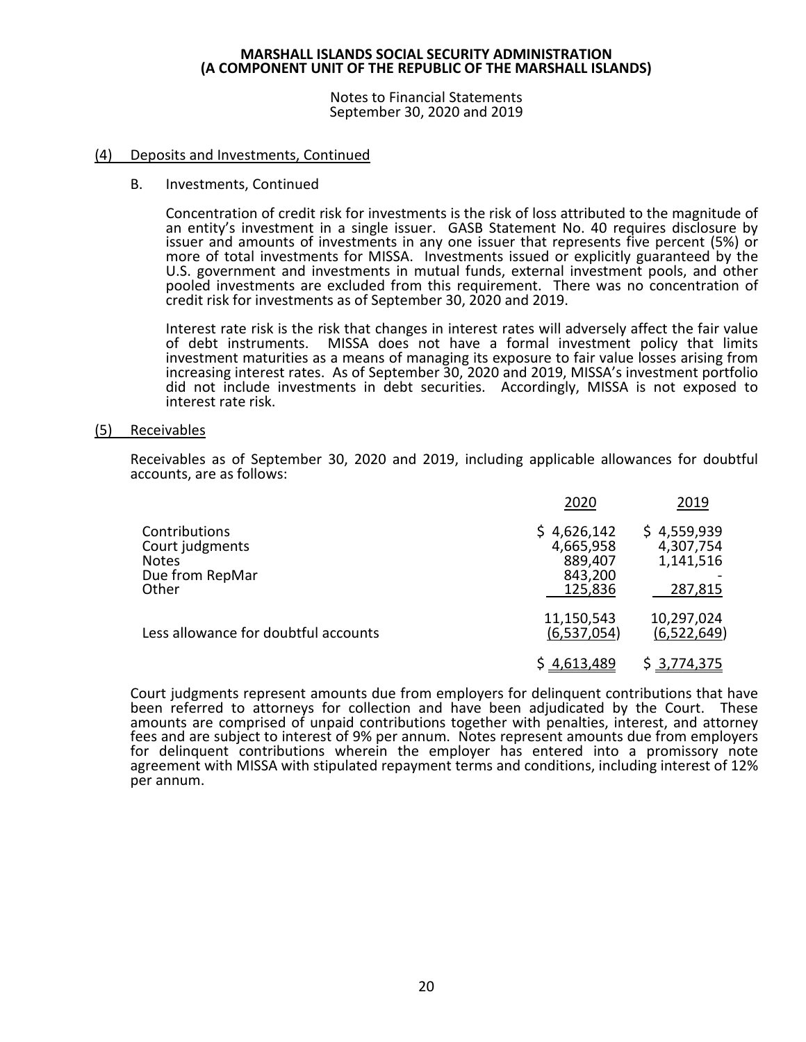Notes to Financial Statements September 30, 2020 and 2019

#### (4) Deposits and Investments, Continued

#### B. Investments, Continued

Concentration of credit risk for investments is the risk of loss attributed to the magnitude of an entity's investment in a single issuer. GASB Statement No. 40 requires disclosure by issuer and amounts of investments in any one issuer that represents five percent (5%) or more of total investments for MISSA. Investments issued or explicitly guaranteed by the U.S. government and investments in mutual funds, external investment pools, and other pooled investments are excluded from this requirement. There was no concentration of credit risk for investments as of September 30, 2020 and 2019.

Interest rate risk is the risk that changes in interest rates will adversely affect the fair value of debt instruments. MISSA does not have a formal investment policy that limits investment maturities as a means of managing its exposure to fair value losses arising from increasing interest rates. As of September 30, 2020 and 2019, MISSA's investment portfolio did not include investments in debt securities. Accordingly, MISSA is not exposed to interest rate risk.

#### (5) Receivables

Receivables as of September 30, 2020 and 2019, including applicable allowances for doubtful accounts, are as follows:

|                                                                              | 2020                                                      | 2019                                             |
|------------------------------------------------------------------------------|-----------------------------------------------------------|--------------------------------------------------|
| Contributions<br>Court judgments<br><b>Notes</b><br>Due from RepMar<br>Other | \$4,626,142<br>4,665,958<br>889,407<br>843,200<br>125,836 | \$4,559,939<br>4,307,754<br>1,141,516<br>287,815 |
| Less allowance for doubtful accounts                                         | 11,150,543<br>(6,537,054)                                 | 10,297,024<br>(6,522,649)                        |
|                                                                              | \$4,613,489                                               | \$3,774,375                                      |

Court judgments represent amounts due from employers for delinquent contributions that have been referred to attorneys for collection and have been adjudicated by the Court. These amounts are comprised of unpaid contributions together with penalties, interest, and attorney fees and are subject to interest of 9% per annum. Notes represent amounts due from employers for delinquent contributions wherein the employer has entered into a promissory note agreement with MISSA with stipulated repayment terms and conditions, including interest of 12% per annum.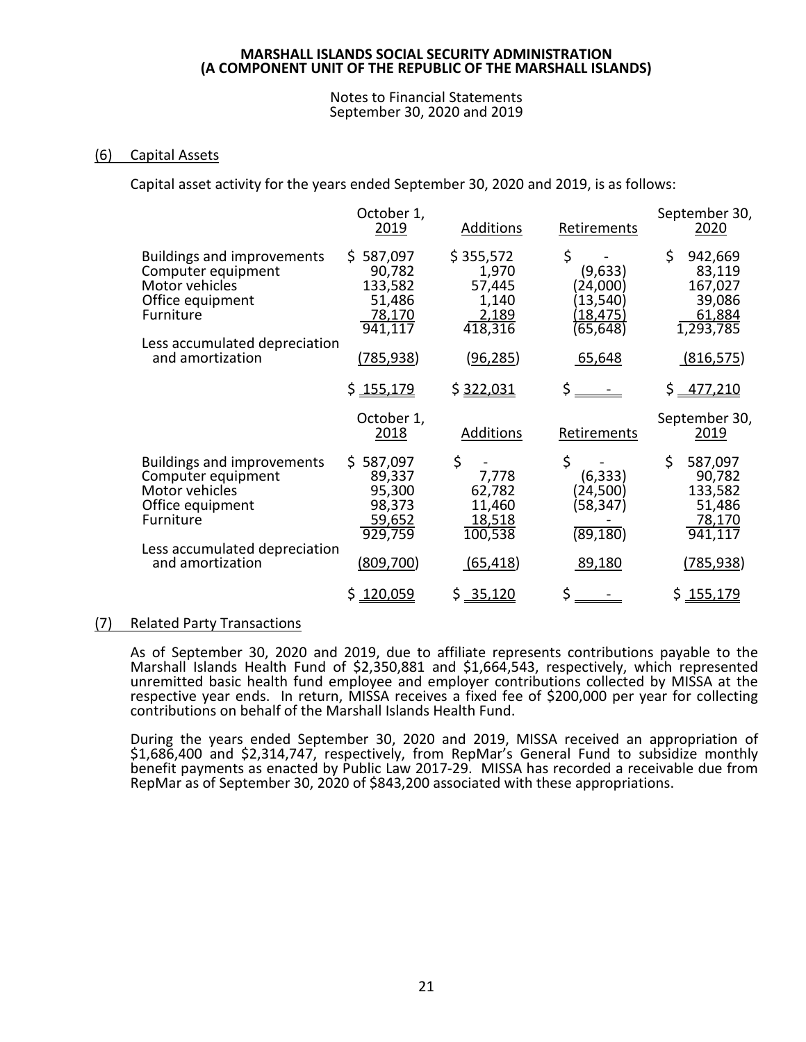#### Notes to Financial Statements September 30, 2020 and 2019

# (6) Capital Assets

Capital asset activity for the years ended September 30, 2020 and 2019, is as follows:

|  |                                                                                                                                                                 | October 1,<br>2019                                            | <b>Additions</b>                                          | Retirements                                                    | September 30,<br>2020                                               |
|--|-----------------------------------------------------------------------------------------------------------------------------------------------------------------|---------------------------------------------------------------|-----------------------------------------------------------|----------------------------------------------------------------|---------------------------------------------------------------------|
|  | <b>Buildings and improvements</b><br>Computer equipment<br>Motor vehicles<br>Office equipment<br>Furniture<br>Less accumulated depreciation<br>and amortization | \$587,097<br>90,782<br>133,582<br>51,486<br>78,170<br>941,117 | \$355,572<br>1,970<br>57,445<br>1,140<br>2,189<br>418,316 | \$<br>(9,633)<br>(24,000)<br>(13,540)<br>(18,475)<br>(65, 648) | \$<br>942,669<br>83,119<br>167,027<br>39,086<br>61,884<br>1,293,785 |
|  |                                                                                                                                                                 | (785, 938)                                                    | (96, 285)                                                 | 65,648                                                         | (816, 575)                                                          |
|  |                                                                                                                                                                 | \$155,179                                                     | \$322,031                                                 | \$_                                                            | \$ <u>477,210</u>                                                   |
|  |                                                                                                                                                                 | October 1,<br>2018                                            | <b>Additions</b>                                          | Retirements                                                    | September 30,<br><u>2019</u>                                        |
|  | <b>Buildings and improvements</b><br>Computer equipment<br>Motor vehicles<br>Office equipment<br>Furniture<br>Less accumulated depreciation<br>and amortization | \$587,097<br>89,337<br>95,300<br>98,373<br>59,652<br>929,759  | \$<br>7,778<br>62,782<br>11,460<br>18,518<br>100,538      | \$<br>(6, 333)<br>(24,500)<br>(58,347)<br>(89, 180)            | \$<br>587,097<br>90,782<br>133,582<br>51,486<br>78,170<br>941,117   |
|  |                                                                                                                                                                 | (809, 700)                                                    | (65, 418)                                                 | 89,180                                                         | (785, 938)                                                          |
|  |                                                                                                                                                                 |                                                               |                                                           |                                                                |                                                                     |

# (7) Related Party Transactions

As of September 30, 2020 and 2019, due to affiliate represents contributions payable to the Marshall Islands Health Fund of \$2,350,881 and \$1,664,543, respectively, which represented unremitted basic health fund employee and employer contributions collected by MISSA at the respective year ends. In return, MISSA receives a fixed fee of \$200,000 per year for collecting contributions on behalf of the Marshall Islands Health Fund.

During the years ended September 30, 2020 and 2019, MISSA received an appropriation of \$1,686,400 and \$2,314,747, respectively, from RepMar's General Fund to subsidize monthly benefit payments as enacted by Public Law 2017-29. MISSA has recorded a receivable due from RepMar as of September 30, 2020 of \$843,200 associated with these appropriations.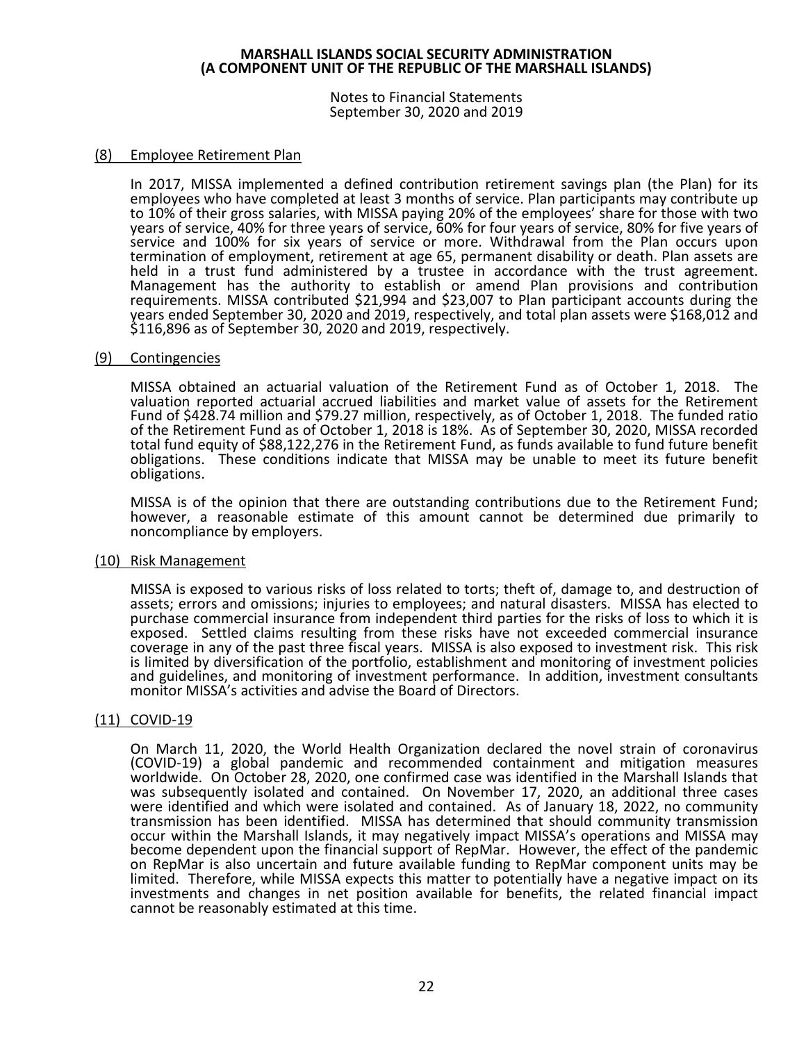Notes to Financial Statements September 30, 2020 and 2019

#### (8) Employee Retirement Plan

In 2017, MISSA implemented a defined contribution retirement savings plan (the Plan) for its employees who have completed at least 3 months of service. Plan participants may contribute up to 10% of their gross salaries, with MISSA paying 20% of the employees' share for those with two years of service, 40% for three years of service, 60% for four years of service, 80% for five years of service and 100% for six years of service or more. Withdrawal from the Plan occurs upon termination of employment, retirement at age 65, permanent disability or death. Plan assets are held in a trust fund administered by a trustee in accordance with the trust agreement. Management has the authority to establish or amend Plan provisions and contribution requirements. MISSA contributed \$21,994 and \$23,007 to Plan participant accounts during the years ended September 30, 2020 and 2019, respectively, and total plan assets were \$168,012 and \$116,896 as of September 30, 2020 and 2019, respectively.

#### (9) Contingencies

MISSA obtained an actuarial valuation of the Retirement Fund as of October 1, 2018. The valuation reported actuarial accrued liabilities and market value of assets for the Retirement Fund of \$428.74 million and \$79.27 million, respectively, as of October 1, 2018. The funded ratio of the Retirement Fund as of October 1, 2018 is 18%. As of September 30, 2020, MISSA recorded total fund equity of \$88,122,276 in the Retirement Fund, as funds available to fund future benefit obligations. These conditions indicate that MISSA may be unable to meet its future benefit obligations.

MISSA is of the opinion that there are outstanding contributions due to the Retirement Fund; however, a reasonable estimate of this amount cannot be determined due primarily to noncompliance by employers.

#### (10) Risk Management

MISSA is exposed to various risks of loss related to torts; theft of, damage to, and destruction of assets; errors and omissions; injuries to employees; and natural disasters. MISSA has elected to purchase commercial insurance from independent third parties for the risks of loss to which it is exposed. Settled claims resulting from these risks have not exceeded commercial insurance coverage in any of the past three fiscal years. MISSA is also exposed to investment risk. This risk is limited by diversification of the portfolio, establishment and monitoring of investment policies and guidelines, and monitoring of investment performance. In addition, investment consultants monitor MISSA's activities and advise the Board of Directors.

# (11) COVID-19

On March 11, 2020, the World Health Organization declared the novel strain of coronavirus (COVID-19) a global pandemic and recommended containment and mitigation measures worldwide. On October 28, 2020, one confirmed case was identified in the Marshall Islands that was subsequently isolated and contained. On November 17, 2020, an additional three cases were identified and which were isolated and contained. As of January 18, 2022, no community transmission has been identified. MISSA has determined that should community transmission occur within the Marshall Islands, it may negatively impact MISSA's operations and MISSA may become dependent upon the financial support of RepMar. However, the effect of the pandemic on RepMar is also uncertain and future available funding to RepMar component units may be limited. Therefore, while MISSA expects this matter to potentially have a negative impact on its investments and changes in net position available for benefits, the related financial impact cannot be reasonably estimated at this time.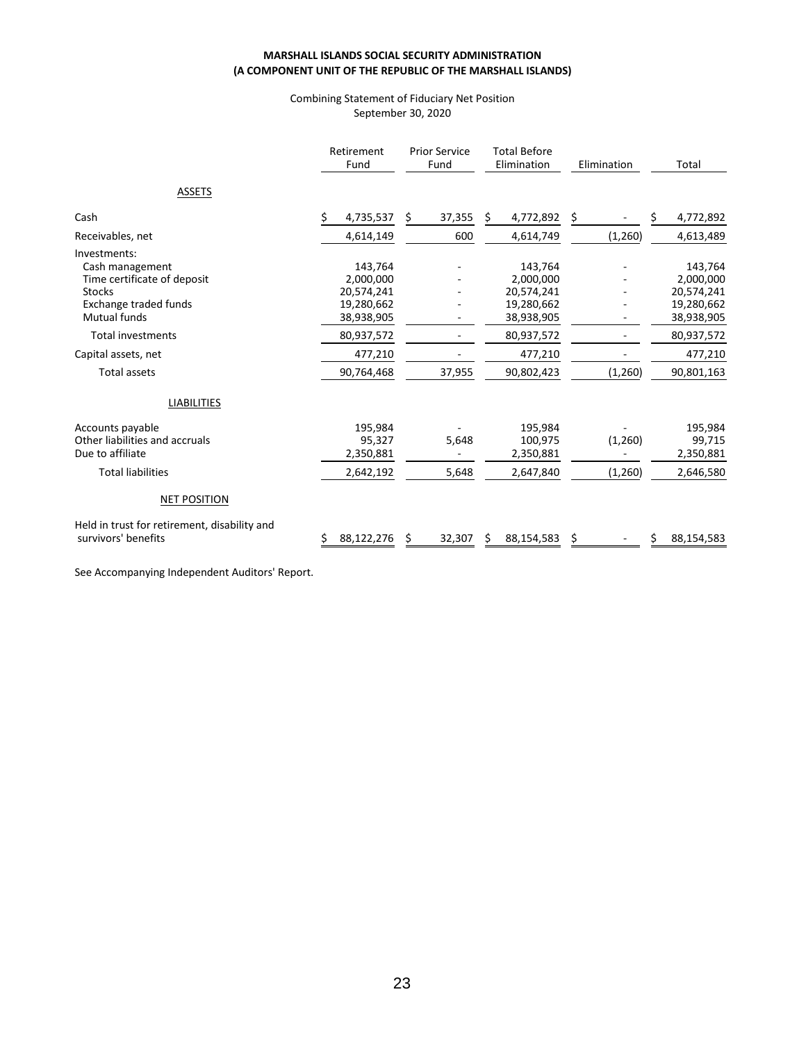#### Combining Statement of Fiduciary Net Position September 30, 2020

|                                                                                                                                                                                                                  | Retirement<br>Fund                                                                                    | <b>Prior Service</b><br>Fund | <b>Total Before</b><br>Elimination                                                                    |                    | Total                                                                                                 |
|------------------------------------------------------------------------------------------------------------------------------------------------------------------------------------------------------------------|-------------------------------------------------------------------------------------------------------|------------------------------|-------------------------------------------------------------------------------------------------------|--------------------|-------------------------------------------------------------------------------------------------------|
| <b>ASSETS</b>                                                                                                                                                                                                    |                                                                                                       |                              |                                                                                                       |                    |                                                                                                       |
| Cash                                                                                                                                                                                                             | \$<br>4,735,537                                                                                       | \$<br>37,355                 | 4,772,892<br>\$.                                                                                      | Ş.                 | \$<br>4,772,892                                                                                       |
| Receivables, net                                                                                                                                                                                                 | 4,614,149                                                                                             | 600                          | 4,614,749                                                                                             | (1,260)            | 4,613,489                                                                                             |
| Investments:<br>Cash management<br>Time certificate of deposit<br><b>Stocks</b><br><b>Exchange traded funds</b><br><b>Mutual funds</b><br><b>Total investments</b><br>Capital assets, net<br><b>Total assets</b> | 143,764<br>2,000,000<br>20,574,241<br>19,280,662<br>38,938,905<br>80,937,572<br>477,210<br>90,764,468 | 37,955                       | 143,764<br>2,000,000<br>20,574,241<br>19,280,662<br>38,938,905<br>80,937,572<br>477,210<br>90,802,423 | (1,260)            | 143,764<br>2,000,000<br>20,574,241<br>19,280,662<br>38,938,905<br>80,937,572<br>477,210<br>90,801,163 |
| <b>LIABILITIES</b>                                                                                                                                                                                               |                                                                                                       |                              |                                                                                                       |                    |                                                                                                       |
| Accounts payable<br>Other liabilities and accruals<br>Due to affiliate<br><b>Total liabilities</b>                                                                                                               | 195,984<br>95,327<br>2,350,881<br>2,642,192                                                           | 5,648<br>5,648               | 195,984<br>100,975<br>2,350,881<br>2,647,840                                                          | (1,260)<br>(1,260) | 195,984<br>99,715<br>2,350,881<br>2,646,580                                                           |
| <b>NET POSITION</b><br>Held in trust for retirement, disability and                                                                                                                                              |                                                                                                       |                              |                                                                                                       |                    |                                                                                                       |
| survivors' benefits                                                                                                                                                                                              | 88,122,276                                                                                            | Ś.<br>32,307                 | Ś.<br>88,154,583                                                                                      | Ś                  | 88,154,583<br>S                                                                                       |

See Accompanying Independent Auditors' Report.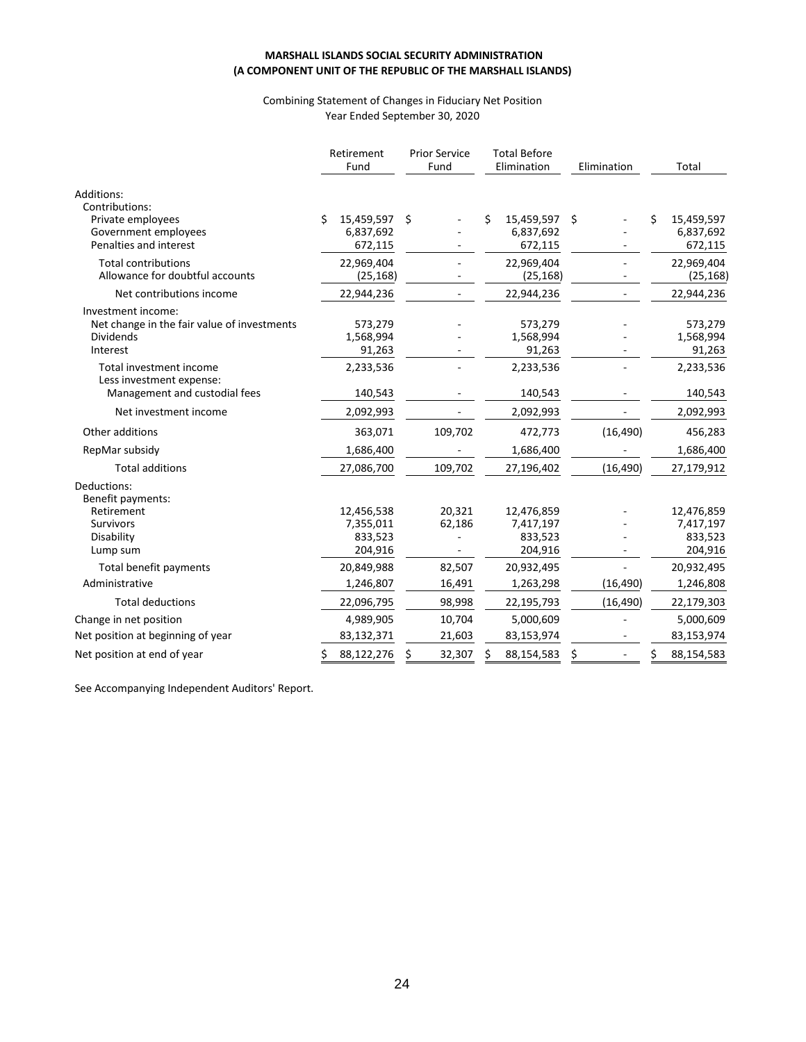#### Combining Statement of Changes in Fiduciary Net Position Year Ended September 30, 2020

|                                                                                                   | Retirement<br>Fund |                                               | <b>Prior Service</b><br>Fund |                  | <b>Total Before</b><br>Elimination |                                               | Elimination |           |    | Total                                         |
|---------------------------------------------------------------------------------------------------|--------------------|-----------------------------------------------|------------------------------|------------------|------------------------------------|-----------------------------------------------|-------------|-----------|----|-----------------------------------------------|
| Additions:<br>Contributions:<br>Private employees<br>Government employees                         | Ś                  | 15,459,597<br>6,837,692                       | \$                           |                  | Ś                                  | 15,459,597<br>6,837,692                       | Ŝ.          |           | Ś  | 15,459,597<br>6,837,692                       |
| Penalties and interest                                                                            |                    | 672,115                                       |                              |                  |                                    | 672,115                                       |             |           |    | 672,115                                       |
| <b>Total contributions</b><br>Allowance for doubtful accounts                                     |                    | 22,969,404<br>(25, 168)                       |                              |                  |                                    | 22,969,404<br>(25, 168)                       |             |           |    | 22,969,404<br>(25, 168)                       |
| Net contributions income                                                                          |                    | 22,944,236                                    |                              |                  |                                    | 22,944,236                                    |             |           |    | 22,944,236                                    |
| Investment income:<br>Net change in the fair value of investments<br><b>Dividends</b><br>Interest |                    | 573,279<br>1,568,994<br>91,263                |                              |                  |                                    | 573,279<br>1,568,994<br>91,263                |             |           |    | 573,279<br>1,568,994<br>91,263                |
| Total investment income<br>Less investment expense:                                               |                    | 2,233,536                                     |                              |                  |                                    | 2,233,536                                     |             |           |    | 2,233,536                                     |
| Management and custodial fees                                                                     |                    | 140,543                                       |                              |                  |                                    | 140,543                                       |             |           |    | 140,543                                       |
| Net investment income                                                                             |                    | 2,092,993                                     |                              |                  |                                    | 2,092,993                                     |             |           |    | 2,092,993                                     |
| Other additions                                                                                   |                    | 363,071                                       |                              | 109,702          |                                    | 472,773                                       |             | (16, 490) |    | 456,283                                       |
| RepMar subsidy                                                                                    |                    | 1,686,400                                     |                              |                  |                                    | 1,686,400                                     |             |           |    | 1,686,400                                     |
| <b>Total additions</b>                                                                            |                    | 27,086,700                                    |                              | 109,702          |                                    | 27,196,402                                    |             | (16, 490) |    | 27,179,912                                    |
| Deductions:<br>Benefit payments:                                                                  |                    |                                               |                              |                  |                                    |                                               |             |           |    |                                               |
| Retirement<br>Survivors<br>Disability<br>Lump sum                                                 |                    | 12,456,538<br>7,355,011<br>833,523<br>204,916 |                              | 20,321<br>62,186 |                                    | 12,476,859<br>7,417,197<br>833,523<br>204,916 |             |           |    | 12,476,859<br>7,417,197<br>833,523<br>204,916 |
| Total benefit payments                                                                            |                    | 20,849,988                                    |                              | 82,507           |                                    | 20,932,495                                    |             |           |    | 20,932,495                                    |
| Administrative                                                                                    |                    | 1,246,807                                     |                              | 16,491           |                                    | 1,263,298                                     |             | (16, 490) |    | 1,246,808                                     |
| <b>Total deductions</b>                                                                           |                    | 22,096,795                                    |                              | 98,998           |                                    | 22,195,793                                    |             | (16, 490) |    | 22,179,303                                    |
| Change in net position                                                                            |                    | 4,989,905                                     |                              | 10,704           |                                    | 5,000,609                                     |             |           |    | 5,000,609                                     |
| Net position at beginning of year                                                                 |                    | 83,132,371                                    |                              | 21,603           |                                    | 83,153,974                                    |             |           |    | 83,153,974                                    |
| Net position at end of year                                                                       | \$                 | 88,122,276                                    | \$                           | 32,307           | Ś                                  | 88,154,583                                    | \$          |           | \$ | 88,154,583                                    |

See Accompanying Independent Auditors' Report.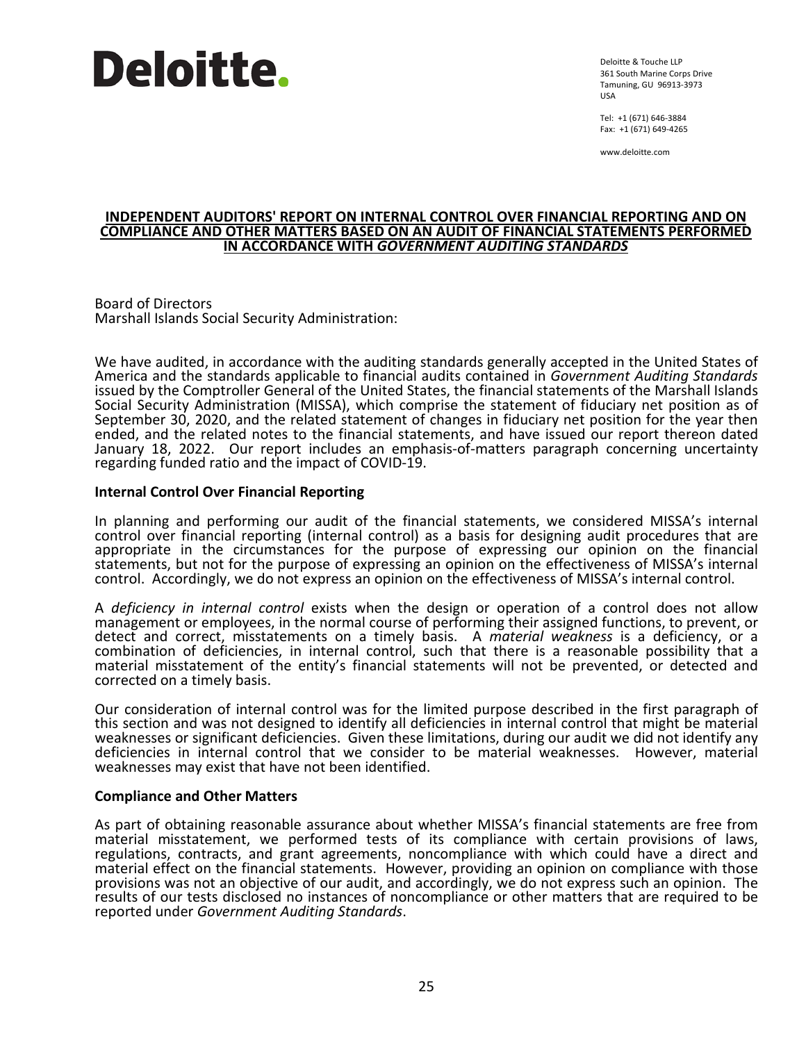# **Deloitte.**

Deloitte & Touche LLP 361 South Marine Corps Drive Tamuning, GU 96913-3973 USA

Tel: +1 (671) 646-3884 Fax: +1 (671) 649-4265

www.deloitte.com

#### **INDEPENDENT AUDITORS' REPORT ON INTERNAL CONTROL OVER FINANCIAL REPORTING AND ON COMPLIANCE AND OTHER MATTERS BASED ON AN AUDIT OF FINANCIAL STATEMENTS PERFORMED IN ACCORDANCE WITH** *GOVERNMENT AUDITING STANDARDS*

Board of Directors Marshall Islands Social Security Administration:

We have audited, in accordance with the auditing standards generally accepted in the United States of America and the standards applicable to financial audits contained in *Government Auditing Standards* issued by the Comptroller General of the United States, the financial statements of the Marshall Islands Social Security Administration (MISSA), which comprise the statement of fiduciary net position as of September 30, 2020, and the related statement of changes in fiduciary net position for the year then ended, and the related notes to the financial statements, and have issued our report thereon dated January 18, 2022. Our report includes an emphasis-of-matters paragraph concerning uncertainty regarding funded ratio and the impact of COVID-19.

# **Internal Control Over Financial Reporting**

In planning and performing our audit of the financial statements, we considered MISSA's internal control over financial reporting (internal control) as a basis for designing audit procedures that are appropriate in the circumstances for the purpose of expressing our opinion on the financial statements, but not for the purpose of expressing an opinion on the effectiveness of MISSA's internal control. Accordingly, we do not express an opinion on the effectiveness of MISSA's internal control.

A *deficiency in internal control* exists when the design or operation of a control does not allow management or employees, in the normal course of performing their assigned functions, to prevent, or detect and correct, misstatements on a timely basis. A *material weakness* is a deficiency, or a combination of deficiencies, in internal control, such that there is a reasonable possibility that a material misstatement of the entity's financial statements will not be prevented, or detected and corrected on a timely basis.

Our consideration of internal control was for the limited purpose described in the first paragraph of this section and was not designed to identify all deficiencies in internal control that might be material weaknesses or significant deficiencies. Given these limitations, during our audit we did not identify any deficiencies in internal control that we consider to be material weaknesses. However, material weaknesses may exist that have not been identified.

#### **Compliance and Other Matters**

As part of obtaining reasonable assurance about whether MISSA's financial statements are free from material misstatement, we performed tests of its compliance with certain provisions of laws, regulations, contracts, and grant agreements, noncompliance with which could have a direct and material effect on the financial statements. However, providing an opinion on compliance with those provisions was not an objective of our audit, and accordingly, we do not express such an opinion. The results of our tests disclosed no instances of noncompliance or other matters that are required to be reported under *Government Auditing Standards*.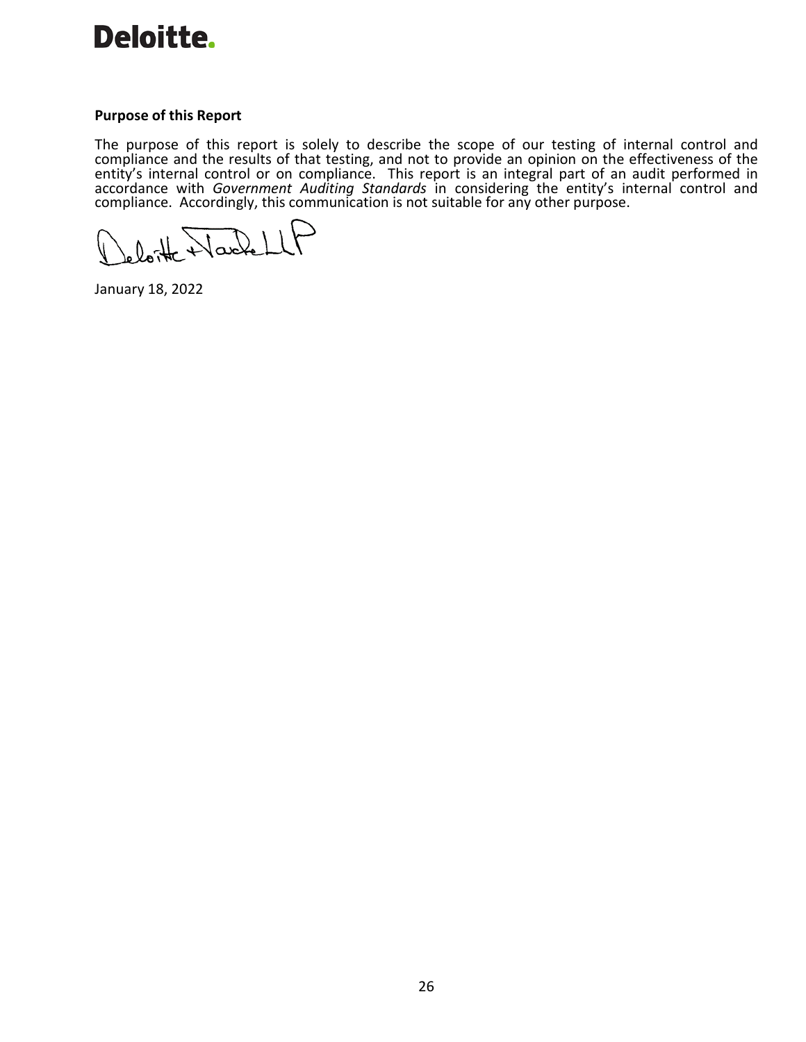

#### **Purpose of this Report**

The purpose of this report is solely to describe the scope of our testing of internal control and compliance and the results of that testing, and not to provide an opinion on the effectiveness of the entity's internal control or on compliance. This report is an integral part of an audit performed in accordance with *Government Auditing Standards* in considering the entity's internal control and compliance. Accordingly, this communication is not suitable for any other purpose.

Varket ند

January 18, 2022